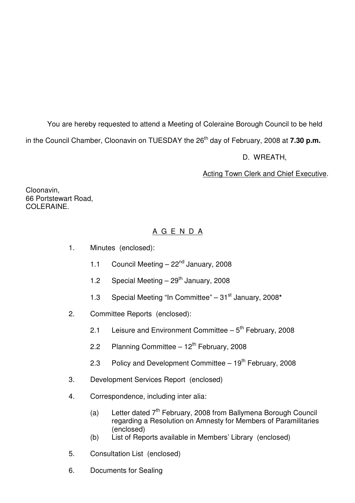You are hereby requested to attend a Meeting of Coleraine Borough Council to be held

in the Council Chamber, Cloonavin on TUESDAY the 26<sup>th</sup> day of February, 2008 at **7.30 p.m.** 

D. WREATH,

Acting Town Clerk and Chief Executive.

Cloonavin, 66 Portstewart Road, COLERAINE.

# A G E N D A

- 1. Minutes (enclosed):
	- 1.1 Council Meeting 22<sup>nd</sup> January, 2008
	- 1.2 Special Meeting  $-29<sup>th</sup>$  January, 2008
	- 1.3 Special Meeting "In Committee" 31st January, 2008**\***
- 2. Committee Reports (enclosed):
	- 2.1 Leisure and Environment Committee  $-5<sup>th</sup>$  February, 2008
	- 2.2 Planning Committee  $-12^{th}$  February, 2008
	- 2.3 Policy and Development Committee  $-19<sup>th</sup>$  February, 2008
- 3. Development Services Report (enclosed)
- 4. Correspondence, including inter alia:
	- (a) Letter dated  $7<sup>th</sup>$  February, 2008 from Ballymena Borough Council regarding a Resolution on Amnesty for Members of Paramilitaries (enclosed)
	- (b) List of Reports available in Members' Library (enclosed)
- 5. Consultation List (enclosed)
- 6. Documents for Sealing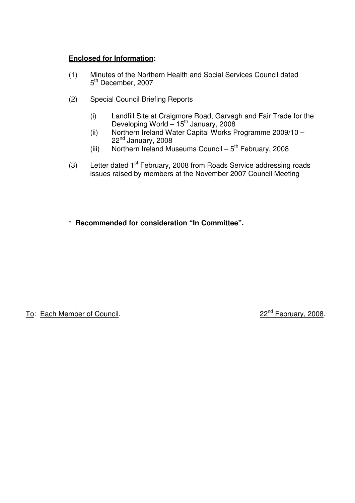## **Enclosed for Information:**

- (1) Minutes of the Northern Health and Social Services Council dated 5<sup>th</sup> December, 2007
- (2) Special Council Briefing Reports
- (i) Landfill Site at Craigmore Road, Garvagh and Fair Trade for the  $D$ eveloping World  $-15<sup>th</sup>$  January, 2008
- (ii) Northern Ireland Water Capital Works Programme 2009/10 22<sup>nd</sup> January, 2008
	- (iii) Northern Ireland Museums Council  $5<sup>th</sup>$  February, 2008
	- (3) Letter dated  $1<sup>st</sup>$  February, 2008 from Roads Service addressing roads issues raised by members at the November 2007 Council Meeting
	- **\* Recommended for consideration "In Committee".**

To: Each Member of Council. 22<sup>nd</sup> February, 2008.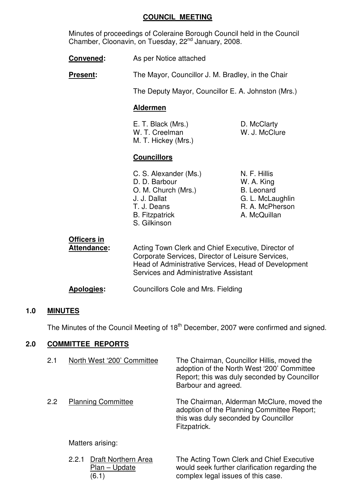#### **COUNCIL MEETING**

 Minutes of proceedings of Coleraine Borough Council held in the Council Chamber, Cloonavin, on Tuesday, 22<sup>nd</sup> January, 2008.

**Convened:** As per Notice attached

**Present:** The Mayor, Councillor J. M. Bradley, in the Chair

The Deputy Mayor, Councillor E. A. Johnston (Mrs.)

## **Aldermen**

E. T. Black (Mrs.) D. McClarty W. T. Creelman W. J. McClure M. T. Hickey (Mrs.)

## **Councillors**

C. S. Alexander (Ms.) N. F. Hillis D. D. Barbour W. A. King O. M. Church (Mrs.) B. Leonard J. J. Dallat G. L. McLaughlin T. J. Deans R. A. McPherson B. Fitzpatrick **A. McQuillan** S. Gilkinson

| Officers in<br><b>Attendance:</b> | Acting Town Clerk and Chief Executive, Director of<br>Corporate Services, Director of Leisure Services,<br>Head of Administrative Services, Head of Development<br>Services and Administrative Assistant |
|-----------------------------------|----------------------------------------------------------------------------------------------------------------------------------------------------------------------------------------------------------|
| <b>Apologies:</b>                 | <b>Councillors Cole and Mrs. Fielding</b>                                                                                                                                                                |

## **1.0 MINUTES**

The Minutes of the Council Meeting of 18<sup>th</sup> December, 2007 were confirmed and signed.

## **2.0 COMMITTEE REPORTS**

| 2.1 | North West '200' Committee                              | The Chairman, Councillor Hillis, moved the<br>adoption of the North West '200' Committee<br>Report; this was duly seconded by Councillor<br>Barbour and agreed. |
|-----|---------------------------------------------------------|-----------------------------------------------------------------------------------------------------------------------------------------------------------------|
| 2.2 | <b>Planning Committee</b>                               | The Chairman, Alderman McClure, moved the<br>adoption of the Planning Committee Report;<br>this was duly seconded by Councillor<br>Fitzpatrick.                 |
|     | Matters arising:                                        |                                                                                                                                                                 |
|     | Draft Northern Area<br>2.2.1<br>Dlon.<br>I <sub>h</sub> | The Acting Town Clerk and Chief Executive<br>would cook further electionion regarding the                                                                       |

Plan – Update **Would seek further clarification regarding** the (6.1) complex legal issues of this case.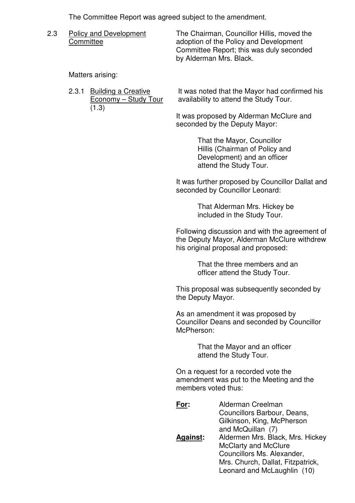The Committee Report was agreed subject to the amendment.

| 2.3 | Policy and Development<br>Committee | The Chairman, Councillor Hillis, moved the                                         |
|-----|-------------------------------------|------------------------------------------------------------------------------------|
|     |                                     | adoption of the Policy and Development<br>Committee Report; this was duly seconded |
|     |                                     | by Alderman Mrs. Black.                                                            |

Matters arising:

| 2.3.1 Building a Creative | It was noted that the Mayor had confirmed his |
|---------------------------|-----------------------------------------------|
| Economy – Study Tour      | availability to attend the Study Tour.        |
| (1.3)                     |                                               |
|                           | It was proposed by Alderman McClure and       |

 It was proposed by Alderman McClure and seconded by the Deputy Mayor:

> That the Mayor, Councillor Hillis (Chairman of Policy and Development) and an officer attend the Study Tour.

 It was further proposed by Councillor Dallat and seconded by Councillor Leonard:

> That Alderman Mrs. Hickey be included in the Study Tour.

 Following discussion and with the agreement of the Deputy Mayor, Alderman McClure withdrew his original proposal and proposed:

> That the three members and an officer attend the Study Tour.

 This proposal was subsequently seconded by the Deputy Mayor.

 As an amendment it was proposed by Councillor Deans and seconded by Councillor McPherson:

> That the Mayor and an officer attend the Study Tour.

 On a request for a recorded vote the amendment was put to the Meeting and the members voted thus:

| For:            | Alderman Creelman<br>Councillors Barbour, Deans,<br>Gilkinson, King, McPherson                 |
|-----------------|------------------------------------------------------------------------------------------------|
| <b>Against:</b> | and McQuillan (7)<br>Aldermen Mrs. Black, Mrs. Hickey<br><b>McClarty and McClure</b>           |
|                 | Councillors Ms. Alexander,<br>Mrs. Church, Dallat, Fitzpatrick,<br>Leonard and McLaughlin (10) |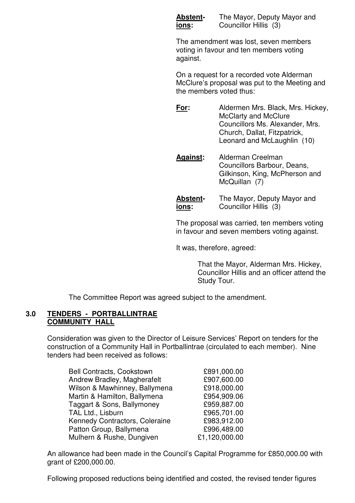**Abstent-** The Mayor, Deputy Mayor and **ions:** Councillor Hillis (3)

 The amendment was lost, seven members voting in favour and ten members voting against.

 On a request for a recorded vote Alderman McClure's proposal was put to the Meeting and the members voted thus:

 **For:** Aldermen Mrs. Black, Mrs. Hickey, McClarty and McClure Councillors Ms. Alexander, Mrs. Church, Dallat, Fitzpatrick, Leonard and McLaughlin (10)

 **Against:** Alderman Creelman Councillors Barbour, Deans, Gilkinson, King, McPherson and McQuillan (7)

 **Abstent-** The Mayor, Deputy Mayor and **ions:** Councillor Hillis (3)

 The proposal was carried, ten members voting in favour and seven members voting against.

It was, therefore, agreed:

 That the Mayor, Alderman Mrs. Hickey, Councillor Hillis and an officer attend the Study Tour.

The Committee Report was agreed subject to the amendment.

#### **3.0 TENDERS - PORTBALLINTRAE COMMUNITY HALL**

 Consideration was given to the Director of Leisure Services' Report on tenders for the construction of a Community Hall in Portballintrae (circulated to each member). Nine tenders had been received as follows:

| Bell Contracts, Cookstown      | £891,000.00   |
|--------------------------------|---------------|
| Andrew Bradley, Magherafelt    | £907,600.00   |
| Wilson & Mawhinney, Ballymena  | £918,000.00   |
| Martin & Hamilton, Ballymena   | £954,909.06   |
| Taggart & Sons, Ballymoney     | £959,887.00   |
| TAL Ltd., Lisburn              | £965,701.00   |
| Kennedy Contractors, Coleraine | £983,912.00   |
| Patton Group, Ballymena        | £996,489.00   |
| Mulhern & Rushe, Dungiven      | £1,120,000.00 |

 An allowance had been made in the Council's Capital Programme for £850,000.00 with grant of £200,000.00.

Following proposed reductions being identified and costed, the revised tender figures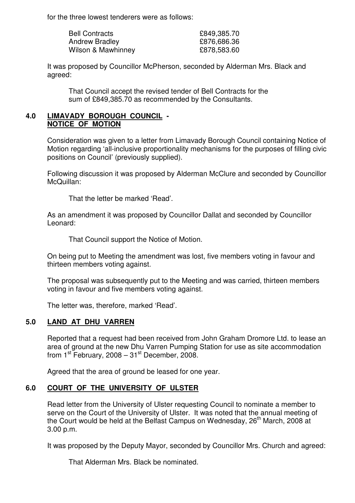for the three lowest tenderers were as follows:

| <b>Bell Contracts</b> | £849,385.70 |
|-----------------------|-------------|
| <b>Andrew Bradley</b> | £876,686.36 |
| Wilson & Mawhinney    | £878,583.60 |

 It was proposed by Councillor McPherson, seconded by Alderman Mrs. Black and agreed:

 That Council accept the revised tender of Bell Contracts for the sum of £849,385.70 as recommended by the Consultants.

## **4.0 LIMAVADY BOROUGH COUNCIL - NOTICE OF MOTION**

 Consideration was given to a letter from Limavady Borough Council containing Notice of Motion regarding 'all-inclusive proportionality mechanisms for the purposes of filling civic positions on Council' (previously supplied).

 Following discussion it was proposed by Alderman McClure and seconded by Councillor McQuillan:

That the letter be marked 'Read'.

 As an amendment it was proposed by Councillor Dallat and seconded by Councillor Leonard:

That Council support the Notice of Motion.

 On being put to Meeting the amendment was lost, five members voting in favour and thirteen members voting against.

 The proposal was subsequently put to the Meeting and was carried, thirteen members voting in favour and five members voting against.

The letter was, therefore, marked 'Read'.

## **5.0 LAND AT DHU VARREN**

 Reported that a request had been received from John Graham Dromore Ltd. to lease an area of ground at the new Dhu Varren Pumping Station for use as site accommodation from  $1^{st}$  February, 2008 –  $31^{st}$  December, 2008.

Agreed that the area of ground be leased for one year.

## **6.0 COURT OF THE UNIVERSITY OF ULSTER**

 Read letter from the University of Ulster requesting Council to nominate a member to serve on the Court of the University of Ulster. It was noted that the annual meeting of the Court would be held at the Belfast Campus on Wednesday, 26<sup>th</sup> March, 2008 at 3.00 p.m.

It was proposed by the Deputy Mayor, seconded by Councillor Mrs. Church and agreed:

That Alderman Mrs. Black be nominated.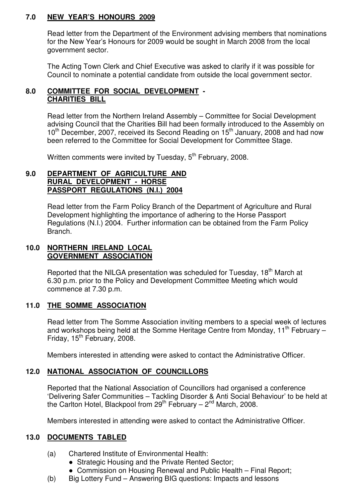## **7.0 NEW YEAR'S HONOURS 2009**

 Read letter from the Department of the Environment advising members that nominations for the New Year's Honours for 2009 would be sought in March 2008 from the local government sector.

 The Acting Town Clerk and Chief Executive was asked to clarify if it was possible for Council to nominate a potential candidate from outside the local government sector.

## **8.0 COMMITTEE FOR SOCIAL DEVELOPMENT - CHARITIES BILL**

 Read letter from the Northern Ireland Assembly – Committee for Social Development advising Council that the Charities Bill had been formally introduced to the Assembly on 10<sup>th</sup> December, 2007, received its Second Reading on 15<sup>th</sup> January, 2008 and had now been referred to the Committee for Social Development for Committee Stage.

Written comments were invited by Tuesday, 5<sup>th</sup> February, 2008.

#### **9.0 DEPARTMENT OF AGRICULTURE AND RURAL DEVELOPMENT - HORSE PASSPORT REGULATIONS (N.I.) 2004**

 Read letter from the Farm Policy Branch of the Department of Agriculture and Rural Development highlighting the importance of adhering to the Horse Passport Regulations (N.I.) 2004. Further information can be obtained from the Farm Policy Branch.

## **10.0 NORTHERN IRELAND LOCAL GOVERNMENT ASSOCIATION**

Reported that the NILGA presentation was scheduled for Tuesday, 18<sup>th</sup> March at 6.30 p.m. prior to the Policy and Development Committee Meeting which would commence at 7.30 p.m.

## **11.0 THE SOMME ASSOCIATION**

 Read letter from The Somme Association inviting members to a special week of lectures and workshops being held at the Somme Heritage Centre from Monday, 11<sup>th</sup> February – Friday,  $15<sup>th</sup>$  February, 2008.

Members interested in attending were asked to contact the Administrative Officer.

# **12.0 NATIONAL ASSOCIATION OF COUNCILLORS**

 Reported that the National Association of Councillors had organised a conference 'Delivering Safer Communities – Tackling Disorder & Anti Social Behaviour' to be held at the Carlton Hotel, Blackpool from 29<sup>th</sup> February – 2<sup>nd</sup> March, 2008.

Members interested in attending were asked to contact the Administrative Officer.

## **13.0 DOCUMENTS TABLED**

- (a) Chartered Institute of Environmental Health:
	- Strategic Housing and the Private Rented Sector:
	- Commission on Housing Renewal and Public Health Final Report;
- (b) Big Lottery Fund Answering BIG questions: Impacts and lessons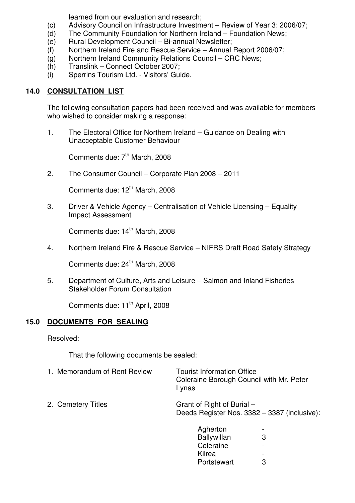learned from our evaluation and research;

- (c) Advisory Council on Infrastructure Investment Review of Year 3: 2006/07;
- (d) The Community Foundation for Northern Ireland Foundation News;
- (e) Rural Development Council Bi-annual Newsletter;
- (f) Northern Ireland Fire and Rescue Service Annual Report 2006/07;
- (g) Northern Ireland Community Relations Council CRC News;
- (h) Translink Connect October 2007;
- (i) Sperrins Tourism Ltd. Visitors' Guide.

# **14.0 CONSULTATION LIST**

 The following consultation papers had been received and was available for members who wished to consider making a response:

 1. The Electoral Office for Northern Ireland – Guidance on Dealing with Unacceptable Customer Behaviour

Comments due: 7<sup>th</sup> March, 2008

2. The Consumer Council – Corporate Plan 2008 – 2011

Comments due: 12<sup>th</sup> March, 2008

 3. Driver & Vehicle Agency – Centralisation of Vehicle Licensing – Equality Impact Assessment

Comments due: 14<sup>th</sup> March, 2008

4. Northern Ireland Fire & Rescue Service – NIFRS Draft Road Safety Strategy

Comments due: 24<sup>th</sup> March, 2008

 5. Department of Culture, Arts and Leisure – Salmon and Inland Fisheries Stakeholder Forum Consultation

Comments due: 11<sup>th</sup> April, 2008

# **15.0 DOCUMENTS FOR SEALING**

Resolved:

That the following documents be sealed:

- 1. Memorandum of Rent Review Tourist Information Office Coleraine Borough Council with Mr. Peter Lynas
- 2. Cemetery Titles Grant of Right of Burial Deeds Register Nos. 3382 – 3387 (inclusive):

| Agherton<br>Ballywillan | $\overline{\phantom{0}}$<br>3 |
|-------------------------|-------------------------------|
| Coleraine               | $\overline{\phantom{0}}$      |
| Kilrea                  | $\overline{\phantom{0}}$      |
| Portstewart             | 3                             |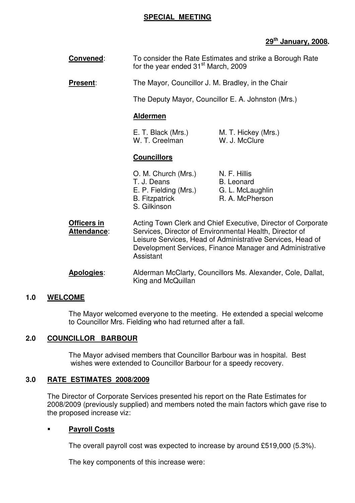#### **SPECIAL MEETING**

## **29th January, 2008.**

| Convened:                         | To consider the Rate Estimates and strike a Borough Rate<br>for the year ended 31 <sup>st</sup> March, 2009 |                                                                                                                                                                                                                                                   |
|-----------------------------------|-------------------------------------------------------------------------------------------------------------|---------------------------------------------------------------------------------------------------------------------------------------------------------------------------------------------------------------------------------------------------|
| <b>Present:</b>                   | The Mayor, Councillor J. M. Bradley, in the Chair                                                           |                                                                                                                                                                                                                                                   |
|                                   |                                                                                                             | The Deputy Mayor, Councillor E. A. Johnston (Mrs.)                                                                                                                                                                                                |
|                                   | <b>Aldermen</b>                                                                                             |                                                                                                                                                                                                                                                   |
|                                   | E. T. Black (Mrs.)<br>W. T. Creelman                                                                        | M. T. Hickey (Mrs.)<br>W. J. McClure                                                                                                                                                                                                              |
|                                   | <b>Councillors</b>                                                                                          |                                                                                                                                                                                                                                                   |
|                                   | O. M. Church (Mrs.)<br>T. J. Deans<br>E. P. Fielding (Mrs.)<br><b>B.</b> Fitzpatrick<br>S. Gilkinson        | N. F. Hillis<br><b>B.</b> Leonard<br>G. L. McLaughlin<br>R. A. McPherson                                                                                                                                                                          |
| Officers in<br><b>Attendance:</b> | Assistant                                                                                                   | Acting Town Clerk and Chief Executive, Director of Corporate<br>Services, Director of Environmental Health, Director of<br>Leisure Services, Head of Administrative Services, Head of<br>Development Services, Finance Manager and Administrative |
| Apologies:                        |                                                                                                             | Alderman McClarty, Councillors Ms. Alexander, Cole, Dallat,                                                                                                                                                                                       |

#### **1.0 WELCOME**

 The Mayor welcomed everyone to the meeting. He extended a special welcome to Councillor Mrs. Fielding who had returned after a fall.

King and McQuillan

#### **2.0 COUNCILLOR BARBOUR**

 The Mayor advised members that Councillor Barbour was in hospital. Best wishes were extended to Councillor Barbour for a speedy recovery.

#### **3.0 RATE ESTIMATES 2008/2009**

 The Director of Corporate Services presented his report on the Rate Estimates for 2008/2009 (previously supplied) and members noted the main factors which gave rise to the proposed increase viz:

#### **Payroll Costs**

The overall payroll cost was expected to increase by around £519,000 (5.3%).

The key components of this increase were: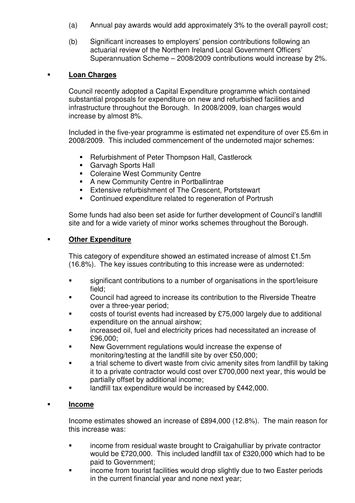- (a) Annual pay awards would add approximately 3% to the overall payroll cost;
- (b) Significant increases to employers' pension contributions following an actuarial review of the Northern Ireland Local Government Officers' Superannuation Scheme – 2008/2009 contributions would increase by 2%.

## **Loan Charges**

Council recently adopted a Capital Expenditure programme which contained substantial proposals for expenditure on new and refurbished facilities and infrastructure throughout the Borough. In 2008/2009, loan charges would increase by almost 8%.

Included in the five-year programme is estimated net expenditure of over £5.6m in 2008/2009. This included commencement of the undernoted major schemes:

- Refurbishment of Peter Thompson Hall, Castlerock
- **Garvagh Sports Hall**
- **Coleraine West Community Centre**
- A new Community Centre in Portballintrae
- **Extensive refurbishment of The Crescent, Portstewart**
- Continued expenditure related to regeneration of Portrush

Some funds had also been set aside for further development of Council's landfill site and for a wide variety of minor works schemes throughout the Borough.

## **Other Expenditure**

This category of expenditure showed an estimated increase of almost £1.5m (16.8%). The key issues contributing to this increase were as undernoted:

- significant contributions to a number of organisations in the sport/leisure field;
- Council had agreed to increase its contribution to the Riverside Theatre over a three-year period;
- costs of tourist events had increased by £75,000 largely due to additional expenditure on the annual airshow;
- increased oil, fuel and electricity prices had necessitated an increase of £96,000;
- New Government regulations would increase the expense of monitoring/testing at the landfill site by over £50,000;
- **EXECT** a trial scheme to divert waste from civic amenity sites from landfill by taking it to a private contractor would cost over £700,000 next year, this would be partially offset by additional income;
- landfill tax expenditure would be increased by £442,000.

## **Income**

Income estimates showed an increase of £894,000 (12.8%). The main reason for this increase was:

- income from residual waste brought to Craigahulliar by private contractor would be £720,000. This included landfill tax of £320,000 which had to be paid to Government;
- **EXECT** income from tourist facilities would drop slightly due to two Easter periods in the current financial year and none next year;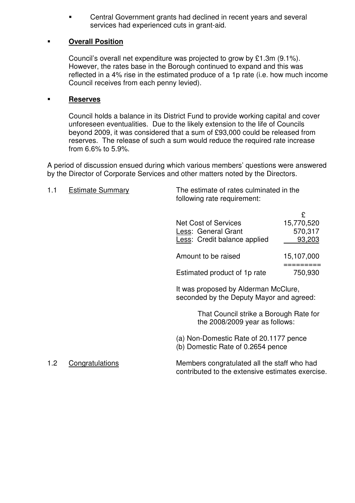Central Government grants had declined in recent years and several services had experienced cuts in grant-aid.

## **Overall Position**

Council's overall net expenditure was projected to grow by £1.3m (9.1%). However, the rates base in the Borough continued to expand and this was reflected in a 4% rise in the estimated produce of a 1p rate (i.e. how much income Council receives from each penny levied).

#### **Reserves**

Council holds a balance in its District Fund to provide working capital and cover unforeseen eventualities. Due to the likely extension to the life of Councils beyond 2009, it was considered that a sum of £93,000 could be released from reserves. The release of such a sum would reduce the required rate increase from 6.6% to 5.9%.

A period of discussion ensued during which various members' questions were answered by the Director of Corporate Services and other matters noted by the Directors.

| 1.1 | <b>Estimate Summary</b> | The estimate of rates culminated in the<br>following rate requirement:                          |               |  |
|-----|-------------------------|-------------------------------------------------------------------------------------------------|---------------|--|
|     |                         |                                                                                                 | £             |  |
|     |                         | <b>Net Cost of Services</b>                                                                     | 15,770,520    |  |
|     |                         | Less: General Grant                                                                             | 570,317       |  |
|     |                         | Less: Credit balance applied                                                                    | <u>93,203</u> |  |
|     |                         | Amount to be raised                                                                             | 15,107,000    |  |
|     |                         | Estimated product of 1p rate                                                                    | 750,930       |  |
|     |                         | It was proposed by Alderman McClure,<br>seconded by the Deputy Mayor and agreed:                |               |  |
|     |                         | That Council strike a Borough Rate for<br>the 2008/2009 year as follows:                        |               |  |
|     |                         | (a) Non-Domestic Rate of 20.1177 pence<br>(b) Domestic Rate of 0.2654 pence                     |               |  |
| 1.2 | Congratulations         | Members congratulated all the staff who had<br>contributed to the extensive estimates exercise. |               |  |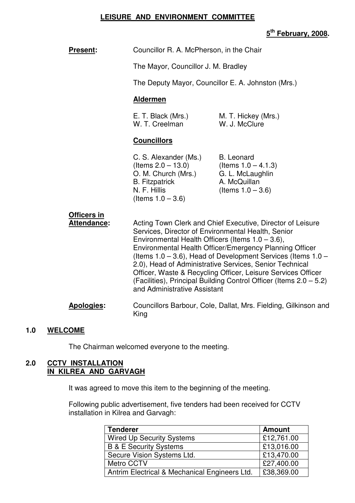#### **LEISURE AND ENVIRONMENT COMMITTEE**

## **5 th February, 2008.**

| <b>Present:</b>                          | Councillor R. A. McPherson, in the Chair                                                                                                                                                                                                                                                                                                                                                                                                                                                                                                 |                                                                                                         |
|------------------------------------------|------------------------------------------------------------------------------------------------------------------------------------------------------------------------------------------------------------------------------------------------------------------------------------------------------------------------------------------------------------------------------------------------------------------------------------------------------------------------------------------------------------------------------------------|---------------------------------------------------------------------------------------------------------|
|                                          | The Mayor, Councillor J. M. Bradley                                                                                                                                                                                                                                                                                                                                                                                                                                                                                                      |                                                                                                         |
|                                          | The Deputy Mayor, Councillor E. A. Johnston (Mrs.)                                                                                                                                                                                                                                                                                                                                                                                                                                                                                       |                                                                                                         |
|                                          | <b>Aldermen</b>                                                                                                                                                                                                                                                                                                                                                                                                                                                                                                                          |                                                                                                         |
|                                          | E. T. Black (Mrs.)<br>W. T. Creelman                                                                                                                                                                                                                                                                                                                                                                                                                                                                                                     | M. T. Hickey (Mrs.)<br>W. J. McClure                                                                    |
|                                          | <b>Councillors</b>                                                                                                                                                                                                                                                                                                                                                                                                                                                                                                                       |                                                                                                         |
|                                          | C. S. Alexander (Ms.)<br>(Items $2.0 - 13.0$ )<br>O. M. Church (Mrs.)<br><b>B.</b> Fitzpatrick<br>N. F. Hillis<br>(Items $1.0 - 3.6$ )                                                                                                                                                                                                                                                                                                                                                                                                   | <b>B.</b> Leonard<br>(Items $1.0 - 4.1.3$ )<br>G. L. McLaughlin<br>A. McQuillan<br>(Items $1.0 - 3.6$ ) |
| <b>Officers in</b><br><b>Attendance:</b> | Acting Town Clerk and Chief Executive, Director of Leisure<br>Services, Director of Environmental Health, Senior<br>Environmental Health Officers (Items $1.0 - 3.6$ ),<br>Environmental Health Officer/Emergency Planning Officer<br>(Items $1.0 - 3.6$ ), Head of Development Services (Items $1.0 -$<br>2.0), Head of Administrative Services, Senior Technical<br>Officer, Waste & Recycling Officer, Leisure Services Officer<br>(Facilities), Principal Building Control Officer (Items 2.0 - 5.2)<br>and Administrative Assistant |                                                                                                         |
| <b>Apologies:</b>                        | King                                                                                                                                                                                                                                                                                                                                                                                                                                                                                                                                     | Councillors Barbour, Cole, Dallat, Mrs. Fielding, Gilkinson and                                         |

#### **1.0 WELCOME**

The Chairman welcomed everyone to the meeting.

#### **2.0 CCTV INSTALLATION IN KILREA AND GARVAGH**

It was agreed to move this item to the beginning of the meeting.

 Following public advertisement, five tenders had been received for CCTV installation in Kilrea and Garvagh:

| <b>Tenderer</b>                               | <b>Amount</b> |
|-----------------------------------------------|---------------|
| <b>Wired Up Security Systems</b>              | £12,761.00    |
| <b>B &amp; E Security Systems</b>             | £13,016.00    |
| Secure Vision Systems Ltd.                    | £13,470.00    |
| Metro CCTV                                    | £27,400.00    |
| Antrim Electrical & Mechanical Engineers Ltd. | £38,369.00    |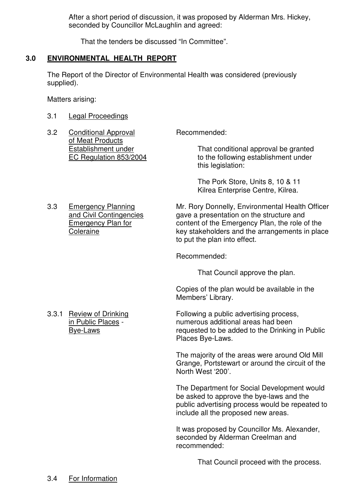After a short period of discussion, it was proposed by Alderman Mrs. Hickey, seconded by Councillor McLaughlin and agreed:

That the tenders be discussed "In Committee".

## **3.0 ENVIRONMENTAL HEALTH REPORT**

 The Report of the Director of Environmental Health was considered (previously supplied).

Matters arising:

- 3.1 Legal Proceedings
- 3.2 Conditional Approval Recommended: of Meat Products

 Establishment under That conditional approval be granted EC Regulation 853/2004 to the following establishment under this legislation:

> The Pork Store, Units 8, 10 & 11 Kilrea Enterprise Centre, Kilrea.

 3.3 Emergency Planning Mr. Rory Donnelly, Environmental Health Officer and Civil Contingencies gave a presentation on the structure and Emergency Plan for content of the Emergency Plan, the role of the Coleraine **Coleraine** key stakeholders and the arrangements in place to put the plan into effect.

Recommended:

That Council approve the plan.

 Copies of the plan would be available in the Members' Library.

3.3.1 Review of Drinking Following a public advertising process, in Public Places - numerous additional areas had been Bye-Laws requested to be added to the Drinking in Public Places Bye-Laws.

> The majority of the areas were around Old Mill Grange, Portstewart or around the circuit of the North West '200'.

 The Department for Social Development would be asked to approve the bye-laws and the public advertising process would be repeated to include all the proposed new areas.

 It was proposed by Councillor Ms. Alexander, seconded by Alderman Creelman and recommended:

That Council proceed with the process.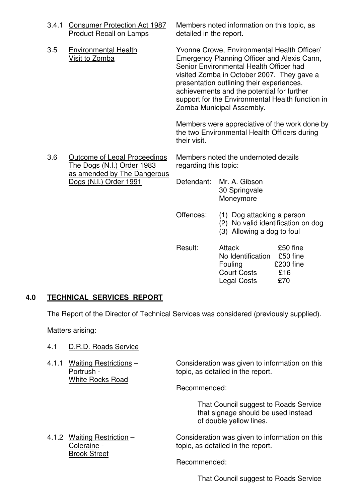|  | 3.4.1 | <b>Consumer Protection Act 1987</b><br><b>Product Recall on Lamps</b>                                                      | detailed in the report.                                                                                                                                                                                                                                                                                                                                         | Members noted information on this topic, as                                                                                                  |
|--|-------|----------------------------------------------------------------------------------------------------------------------------|-----------------------------------------------------------------------------------------------------------------------------------------------------------------------------------------------------------------------------------------------------------------------------------------------------------------------------------------------------------------|----------------------------------------------------------------------------------------------------------------------------------------------|
|  | 3.5   | <b>Environmental Health</b><br>Visit to Zomba                                                                              | Yvonne Crowe, Environmental Health Officer/<br>Emergency Planning Officer and Alexis Cann,<br>Senior Environmental Health Officer had<br>visited Zomba in October 2007. They gave a<br>presentation outlining their experiences,<br>achievements and the potential for further<br>support for the Environmental Health function in<br>Zomba Municipal Assembly. |                                                                                                                                              |
|  |       | their visit.                                                                                                               | Members were appreciative of the work done by<br>the two Environmental Health Officers during                                                                                                                                                                                                                                                                   |                                                                                                                                              |
|  | 3.6   | <b>Outcome of Legal Proceedings</b><br>The Dogs (N.I.) Order 1983<br>as amended by The Dangerous<br>Dogs (N.I.) Order 1991 | Members noted the undernoted details<br>regarding this topic:                                                                                                                                                                                                                                                                                                   |                                                                                                                                              |
|  |       |                                                                                                                            | Defendant:                                                                                                                                                                                                                                                                                                                                                      | Mr. A. Gibson<br>30 Springvale<br>Moneymore                                                                                                  |
|  |       |                                                                                                                            | Offences:                                                                                                                                                                                                                                                                                                                                                       | (1) Dog attacking a person<br>(2) No valid identification on dog<br>(3) Allowing a dog to foul                                               |
|  |       |                                                                                                                            | Result:                                                                                                                                                                                                                                                                                                                                                         | £50 fine<br><b>Attack</b><br>£50 fine<br>No Identification<br>£200 fine<br>Fouling<br><b>Court Costs</b><br>£16<br>£70<br><b>Legal Costs</b> |

## **4.0 TECHNICAL SERVICES REPORT**

The Report of the Director of Technical Services was considered (previously supplied).

Matters arising:

- 4.1 D.R.D. Roads Service
- White Rocks Road

4.1.1 Waiting Restrictions – Consideration was given to information on this<br>Portrush - topic, as detailed in the report. topic, as detailed in the report.

Recommended:

 That Council suggest to Roads Service that signage should be used instead of double yellow lines.

4.1.2 Waiting Restriction – Consideration was given to information on this Coleraine - topic, as detailed in the report. Brook Street

Recommended:

That Council suggest to Roads Service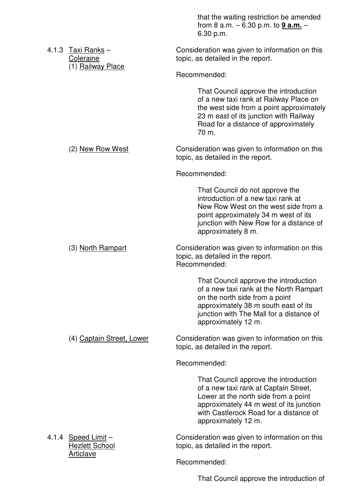|  |                                                             | that the waiting restriction be amended<br>from 8 a.m. $-6.30$ p.m. to $9$ a.m. $-$<br>6.30 p.m.                                                                                                                                   |
|--|-------------------------------------------------------------|------------------------------------------------------------------------------------------------------------------------------------------------------------------------------------------------------------------------------------|
|  | 4.1.3 Taxi Ranks $-$<br>Coleraine<br>(1) Railway Place      | Consideration was given to information on this<br>topic, as detailed in the report.                                                                                                                                                |
|  |                                                             | Recommended:                                                                                                                                                                                                                       |
|  |                                                             | That Council approve the introduction<br>of a new taxi rank at Railway Place on<br>the west side from a point approximately<br>23 m east of its junction with Railway<br>Road for a distance of approximately<br>70 m.             |
|  | (2) New Row West                                            | Consideration was given to information on this<br>topic, as detailed in the report.                                                                                                                                                |
|  |                                                             | Recommended:                                                                                                                                                                                                                       |
|  |                                                             | That Council do not approve the<br>introduction of a new taxi rank at<br>New Row West on the west side from a<br>point approximately 34 m west of its<br>junction with New Row for a distance of<br>approximately 8 m.             |
|  | (3) North Rampart                                           | Consideration was given to information on this<br>topic, as detailed in the report.<br>Recommended:                                                                                                                                |
|  |                                                             | That Council approve the introduction<br>of a new taxi rank at the North Rampart<br>on the north side from a point<br>approximately 38 m south east of its<br>junction with The Mall for a distance of<br>approximately 12 m.      |
|  | (4) Captain Street, Lower                                   | Consideration was given to information on this<br>topic, as detailed in the report.                                                                                                                                                |
|  |                                                             | Recommended:                                                                                                                                                                                                                       |
|  |                                                             | That Council approve the introduction<br>of a new taxi rank at Captain Street,<br>Lower at the north side from a point<br>approximately 44 m west of its junction<br>with Castlerock Road for a distance of<br>approximately 12 m. |
|  | $4.1.4$ Speed Limit -<br><b>Hezlett School</b><br>Articlave | Consideration was given to information on this<br>topic, as detailed in the report.                                                                                                                                                |
|  |                                                             | Recommended:                                                                                                                                                                                                                       |

That Council approve the introduction of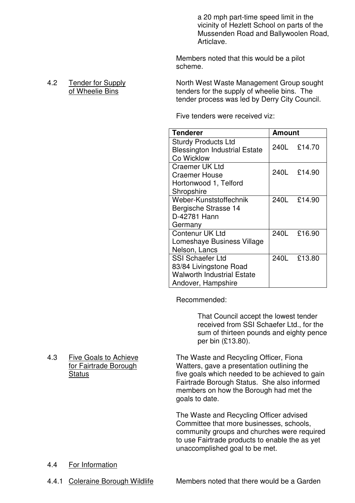a 20 mph part-time speed limit in the vicinity of Hezlett School on parts of the Mussenden Road and Ballywoolen Road, Articlave.

 Members noted that this would be a pilot scheme.

 4.2 Tender for Supply North West Waste Management Group sought of Wheelie Bins tenders for the supply of wheelie bins. The tender process was led by Derry City Council.

Five tenders were received viz:

| <b>Tenderer</b>                                                    | <b>Amount</b> |             |
|--------------------------------------------------------------------|---------------|-------------|
| <b>Sturdy Products Ltd</b><br><b>Blessington Industrial Estate</b> |               | 240L £14.70 |
| Co Wicklow                                                         |               |             |
| <b>Craemer UK Ltd</b>                                              |               | 240L £14.90 |
| <b>Craemer House</b>                                               |               |             |
| Hortonwood 1, Telford                                              |               |             |
| Shropshire                                                         |               |             |
| Weber-Kunststoffechnik                                             |               | 240L £14.90 |
| Bergische Strasse 14                                               |               |             |
| D-42781 Hann                                                       |               |             |
| Germany                                                            |               |             |
| Contenur UK Ltd                                                    |               | 240L £16.90 |
| Lomeshaye Business Village                                         |               |             |
| Nelson, Lancs                                                      |               |             |
| <b>SSI Schaefer Ltd</b>                                            |               | 240L £13.80 |
| 83/84 Livingstone Road                                             |               |             |
| <b>Walworth Industrial Estate</b>                                  |               |             |
| Andover, Hampshire                                                 |               |             |

Recommended:

 That Council accept the lowest tender received from SSI Schaefer Ltd., for the sum of thirteen pounds and eighty pence per bin (£13.80).

4.3 Five Goals to Achieve The Waste and Recycling Officer, Fiona for Fairtrade Borough Watters, gave a presentation outlining the Status **Status five goals which needed to be achieved to gain**  Fairtrade Borough Status. She also informed members on how the Borough had met the goals to date.

> The Waste and Recycling Officer advised Committee that more businesses, schools, community groups and churches were required to use Fairtrade products to enable the as yet unaccomplished goal to be met.

- 4.4 For Information
- 

4.4.1 Coleraine Borough Wildlife Members noted that there would be a Garden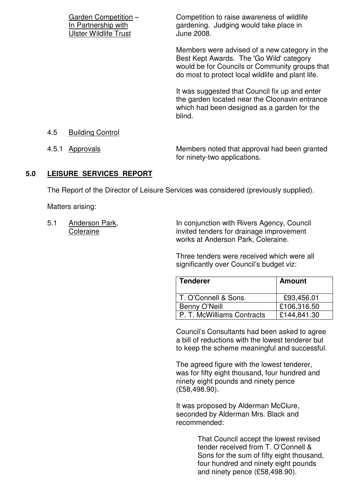|                    | Garden Competition -<br>In Partnership with<br><b>Ulster Wildlife Trust</b> | Competition to raise awareness of wildlife<br>gardening. Judging would take place in<br>June 2008.                                                                                               |
|--------------------|-----------------------------------------------------------------------------|--------------------------------------------------------------------------------------------------------------------------------------------------------------------------------------------------|
|                    |                                                                             | Members were advised of a new category in the<br>Best Kept Awards. The 'Go Wild' category<br>would be for Councils or Community groups that<br>do most to protect local wildlife and plant life. |
|                    |                                                                             | It was suggested that Council fix up and enter<br>the garden located near the Cloonavin entrance<br>which had been designed as a garden for the<br>blind.                                        |
| 4.5                | <b>Building Control</b>                                                     |                                                                                                                                                                                                  |
| 4.5.1<br>Approvals |                                                                             | Members noted that approval had been granted<br>for ninety-two applications.                                                                                                                     |

#### **5.0 LEISURE SERVICES REPORT**

The Report of the Director of Leisure Services was considered (previously supplied).

Matters arising:

5.1 Anderson Park, In conjunction with Rivers Agency, Council Coleraine **invited tenders for drainage improvement** works at Anderson Park, Coleraine.

> Three tenders were received which were all significantly over Council's budget viz:

| <b>Tenderer</b>            | <b>Amount</b> |
|----------------------------|---------------|
| T. O'Connell & Sons        | £93,456.01    |
| Benny O'Neill              | £106,316.50   |
| P. T. McWilliams Contracts | £144,841.30   |

 Council's Consultants had been asked to agree a bill of reductions with the lowest tenderer but to keep the scheme meaningful and successful.

 The agreed figure with the lowest tenderer, was for fifty eight thousand, four hundred and ninety eight pounds and ninety pence (£58,498.90).

 It was proposed by Alderman McClure, seconded by Alderman Mrs. Black and recommended:

> That Council accept the lowest revised tender received from T. O'Connell & Sons for the sum of fifty eight thousand, four hundred and ninety eight pounds and ninety pence (£58,498.90).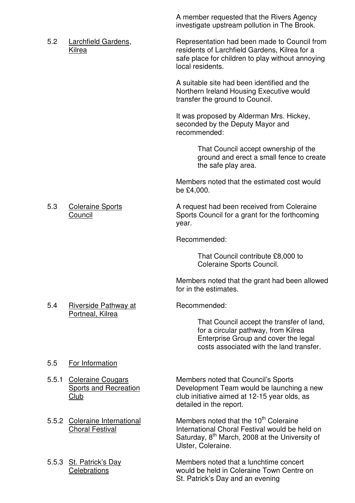investigate upstream pollution in The Brook. 5.2 Larchfield Gardens, Representation had been made to Council from Kilrea **residents of Larchfield Gardens, Kilrea for a**  safe place for children to play without annoying local residents. A suitable site had been identified and the Northern Ireland Housing Executive would transfer the ground to Council. It was proposed by Alderman Mrs. Hickey, seconded by the Deputy Mayor and recommended: That Council accept ownership of the ground and erect a small fence to create the safe play area. Members noted that the estimated cost would be £4,000. 5.3 Coleraine Sports **A** request had been received from Coleraine Council Sports Council for a grant for the forthcoming year. Recommended: That Council contribute £8,000 to Coleraine Sports Council. Members noted that the grant had been allowed for in the estimates. 5.4 Riverside Pathway at Recommended: Portneal, Kilrea That Council accept the transfer of land, for a circular pathway, from Kilrea Enterprise Group and cover the legal costs associated with the land transfer. 5.5 For Information 5.5.1 Coleraine Cougars Members noted that Council's Sports Sports and Recreation Development Team would be launching a new Club club initiative aimed at 12-15 year olds, as detailed in the report. 5.5.2 Coleraine International Members noted that the 10<sup>th</sup> Coleraine Choral Festival **International Choral Festival would be held on** Saturday,  $8<sup>th</sup>$  March, 2008 at the University of Ulster, Coleraine.

5.5.3 St. Patrick's Day Members noted that a lunchtime concert Celebrations would be held in Coleraine Town Centre on St. Patrick's Day and an evening

A member requested that the Rivers Agency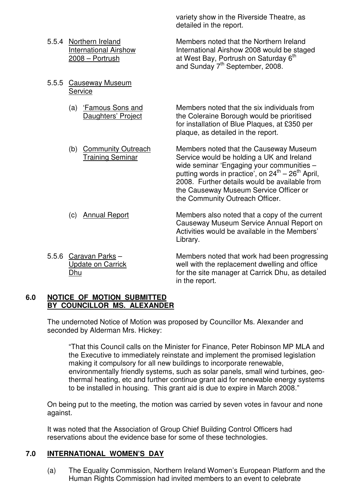- 
- 5.5.5 Causeway Museum **Service** 
	-
	-

 variety show in the Riverside Theatre, as detailed in the report.

5.5.4 Northern Ireland Members noted that the Northern Ireland International Airshow International Airshow 2008 would be staged 2008 – Portrush at West Bay, Portrush on Saturday 6<sup>th</sup> and Sunday 7<sup>th</sup> September, 2008.

(a) 'Famous Sons and Members noted that the six individuals from Daughters' Project the Coleraine Borough would be prioritised for installation of Blue Plaques, at £350 per plaque, as detailed in the report.

(b) Community Outreach Members noted that the Causeway Museum Training Seminar Service would be holding a UK and Ireland wide seminar 'Engaging your communities – putting words in practice', on  $24^{th} - 26^{th}$  April, 2008. Further details would be available from the Causeway Museum Service Officer or the Community Outreach Officer.

(c) Annual Report Members also noted that a copy of the current Causeway Museum Service Annual Report on Activities would be available in the Members' Library.

5.5.6 Caravan Parks – Members noted that work had been progressing Update on Carrick well with the replacement dwelling and office Dhu for the site manager at Carrick Dhu, as detailed in the report.

#### **6.0 NOTICE OF MOTION SUBMITTED BY COUNCILLOR MS. ALEXANDER**

The undernoted Notice of Motion was proposed by Councillor Ms. Alexander and seconded by Alderman Mrs. Hickey:

 "That this Council calls on the Minister for Finance, Peter Robinson MP MLA and the Executive to immediately reinstate and implement the promised legislation making it compulsory for all new buildings to incorporate renewable, environmentally friendly systems, such as solar panels, small wind turbines, geo thermal heating, etc and further continue grant aid for renewable energy systems to be installed in housing. This grant aid is due to expire in March 2008."

On being put to the meeting, the motion was carried by seven votes in favour and none against.

It was noted that the Association of Group Chief Building Control Officers had reservations about the evidence base for some of these technologies.

## **7.0 INTERNATIONAL WOMEN'S DAY**

(a) The Equality Commission, Northern Ireland Women's European Platform and the Human Rights Commission had invited members to an event to celebrate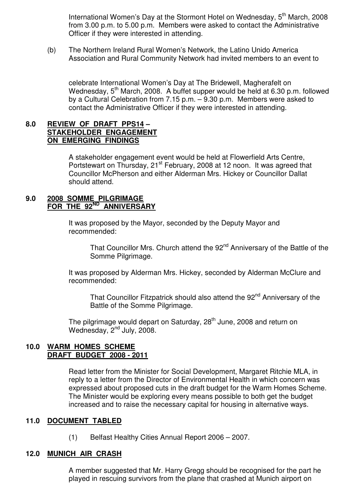International Women's Day at the Stormont Hotel on Wednesday,  $5<sup>th</sup>$  March, 2008 from 3.00 p.m. to 5.00 p.m. Members were asked to contact the Administrative Officer if they were interested in attending.

 (b) The Northern Ireland Rural Women's Network, the Latino Unido America Association and Rural Community Network had invited members to an event to

 celebrate International Women's Day at The Bridewell, Magherafelt on Wednesday, 5<sup>th</sup> March, 2008. A buffet supper would be held at 6.30 p.m. followed by a Cultural Celebration from 7.15 p.m. – 9.30 p.m. Members were asked to contact the Administrative Officer if they were interested in attending.

## **8.0 REVIEW OF DRAFT PPS14 – STAKEHOLDER ENGAGEMENT ON EMERGING FINDINGS**

 A stakeholder engagement event would be held at Flowerfield Arts Centre, Portstewart on Thursday, 21<sup>st</sup> February, 2008 at 12 noon. It was agreed that Councillor McPherson and either Alderman Mrs. Hickey or Councillor Dallat should attend.

### **9.0 2008 SOMME PILGRIMAGE FOR THE 92ND ANNIVERSARY**

 It was proposed by the Mayor, seconded by the Deputy Mayor and recommended:

That Councillor Mrs. Church attend the 92<sup>nd</sup> Anniversary of the Battle of the Somme Pilgrimage.

 It was proposed by Alderman Mrs. Hickey, seconded by Alderman McClure and recommended:

That Councillor Fitzpatrick should also attend the 92<sup>nd</sup> Anniversary of the Battle of the Somme Pilgrimage.

The pilgrimage would depart on Saturday, 28<sup>th</sup> June, 2008 and return on Wednesday, 2<sup>nd</sup> July, 2008.

#### **10.0 WARM HOMES SCHEME DRAFT BUDGET 2008 - 2011**

 Read letter from the Minister for Social Development, Margaret Ritchie MLA, in reply to a letter from the Director of Environmental Health in which concern was expressed about proposed cuts in the draft budget for the Warm Homes Scheme. The Minister would be exploring every means possible to both get the budget increased and to raise the necessary capital for housing in alternative ways.

## **11.0 DOCUMENT TABLED**

(1) Belfast Healthy Cities Annual Report 2006 – 2007.

## **12.0 MUNICH AIR CRASH**

A member suggested that Mr. Harry Gregg should be recognised for the part he played in rescuing survivors from the plane that crashed at Munich airport on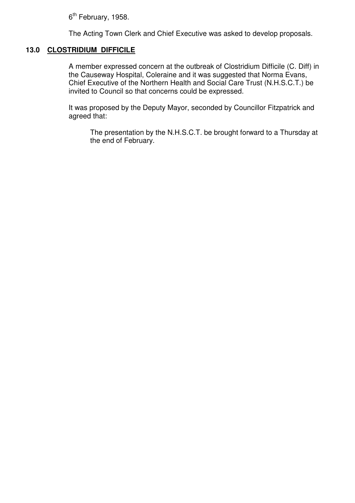6<sup>th</sup> February, 1958.

The Acting Town Clerk and Chief Executive was asked to develop proposals.

## **13.0 CLOSTRIDIUM DIFFICILE**

A member expressed concern at the outbreak of Clostridium Difficile (C. Diff) in the Causeway Hospital, Coleraine and it was suggested that Norma Evans, Chief Executive of the Northern Health and Social Care Trust (N.H.S.C.T.) be invited to Council so that concerns could be expressed.

It was proposed by the Deputy Mayor, seconded by Councillor Fitzpatrick and agreed that:

 The presentation by the N.H.S.C.T. be brought forward to a Thursday at the end of February.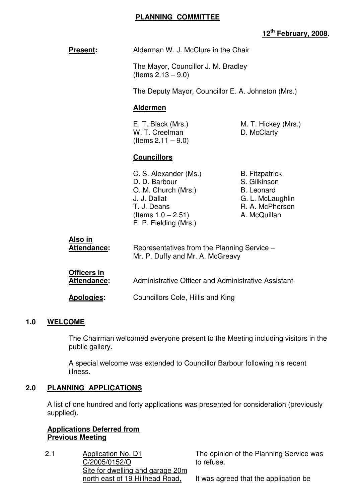#### **PLANNING COMMITTEE**

# **12th February, 2008.**

| <b>Present:</b> | Alderman W. J. McClure in the Chair |
|-----------------|-------------------------------------|
|-----------------|-------------------------------------|

 The Mayor, Councillor J. M. Bradley (Items 2.13 – 9.0)

The Deputy Mayor, Councillor E. A. Johnston (Mrs.)

#### **Aldermen**

W. T. Creelman D. McClarty  $($ ltems 2.11 – 9.0)

E. T. Black (Mrs.) M. T. Hickey (Mrs.)

#### **Councillors**

C. S. Alexander (Ms.) B. Fitzpatrick D. D. Barbour S. Gilkinson O. M. Church (Mrs.) B. Leonard J. J. Dallat G. L. McLaughlin T. J. Deans R. A. McPherson  $($ ltems  $1.0 - 2.51)$  A. McQuillan E. P. Fielding (Mrs.)

| Also in            | Representatives from the Planning Service - |
|--------------------|---------------------------------------------|
| Attendance:        | Mr. P. Duffy and Mr. A. McGreavy            |
| <b>Officers in</b> |                                             |

 **Attendance:** Administrative Officer and Administrative Assistant

**Apologies:** Councillors Cole, Hillis and King

## **1.0 WELCOME**

 The Chairman welcomed everyone present to the Meeting including visitors in the public gallery.

 A special welcome was extended to Councillor Barbour following his recent illness.

## **2.0 PLANNING APPLICATIONS**

 A list of one hundred and forty applications was presented for consideration (previously supplied).

## **Applications Deferred from Previous Meeting**

2.1 Application No. D1 C/2005/0152/O Site for dwelling and garage 20m north east of 19 Hillhead Road,

The opinion of the Planning Service was to refuse.

It was agreed that the application be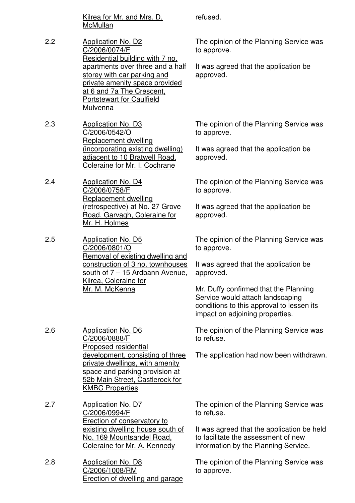Kilrea for Mr. and Mrs. D. **McMullan** 

- 2.2 Application No. D2 C/2006/0074/F Residential building with 7 no. apartments over three and a half storey with car parking and private amenity space provided at 6 and 7a The Crescent, Portstewart for Caulfield **Mulvenna**
- 2.3 Application No. D3 C/2006/0542/O Replacement dwelling (incorporating existing dwelling) adjacent to 10 Bratwell Road, Coleraine for Mr. I. Cochrane
- 2.4 Application No. D4 C/2006/0758/F Replacement dwelling (retrospective) at No. 27 Grove Road, Garvagh, Coleraine for Mr. H. Holmes
- 2.5 Application No. D5 C/2006/0801/O Removal of existing dwelling and construction of 3 no. townhouses south of 7 – 15 Ardbann Avenue, Kilrea, Coleraine for Mr. M. McKenna

2.6 Application No. D6 C/2006/0888/F Proposed residential development, consisting of three private dwellings, with amenity space and parking provision at 52b Main Street, Castlerock for KMBC Properties

2.7 Application No. D7 C/2006/0994/F Erection of conservatory to existing dwelling house south of No. 169 Mountsandel Road, Coleraine for Mr. A. Kennedy

2.8 Application No. D8 C/2006/1008/RM Erection of dwelling and garage refused.

The opinion of the Planning Service was to approve.

It was agreed that the application be approved.

The opinion of the Planning Service was to approve.

It was agreed that the application be approved.

The opinion of the Planning Service was to approve.

It was agreed that the application be approved.

The opinion of the Planning Service was to approve.

It was agreed that the application be approved.

Mr. Duffy confirmed that the Planning Service would attach landscaping conditions to this approval to lessen its impact on adjoining properties.

The opinion of the Planning Service was to refuse.

The application had now been withdrawn.

The opinion of the Planning Service was to refuse.

It was agreed that the application be held to facilitate the assessment of new information by the Planning Service.

The opinion of the Planning Service was to approve.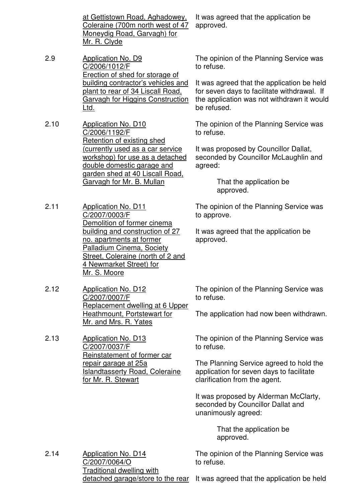at Gettistown Road, Aghadowey, Coleraine (700m north west of 47 Moneydig Road, Garvagh) for Mr. R. Clyde

- 2.9 Application No. D9 C/2006/1012/F Erection of shed for storage of building contractor's vehicles and plant to rear of 34 Liscall Road, Garvagh for Higgins Construction Ltd.
- 2.10 Application No. D10 C/2006/1192/F Retention of existing shed (currently used as a car service workshop) for use as a detached double domestic garage and garden shed at 40 Liscall Road, Garvagh for Mr. B. Mullan
- 2.11 Application No. D11 C/2007/0003/F Demolition of former cinema building and construction of 27 no. apartments at former Palladium Cinema, Society Street, Coleraine (north of 2 and 4 Newmarket Street) for Mr. S. Moore
- 2.12 Application No. D12 C/2007/0007/F Replacement dwelling at 6 Upper Heathmount, Portstewart for Mr. and Mrs. R. Yates

2.13 Application No. D13 C/2007/0037/F Reinstatement of former car repair garage at 25a Islandtasserty Road, Coleraine for Mr. R. Stewart

It was agreed that the application be approved.

The opinion of the Planning Service was to refuse.

It was agreed that the application be held for seven days to facilitate withdrawal. If the application was not withdrawn it would be refused.

The opinion of the Planning Service was to refuse.

It was proposed by Councillor Dallat, seconded by Councillor McLaughlin and agreed:

> That the application be approved.

The opinion of the Planning Service was to approve.

It was agreed that the application be approved.

The opinion of the Planning Service was to refuse.

The application had now been withdrawn.

The opinion of the Planning Service was to refuse.

The Planning Service agreed to hold the application for seven days to facilitate clarification from the agent.

It was proposed by Alderman McClarty, seconded by Councillor Dallat and unanimously agreed:

> That the application be approved.

The opinion of the Planning Service was to refuse.

2.14 Application No. D14 C/2007/0064/O Traditional dwelling with

detached garage/store to the rear It was agreed that the application be held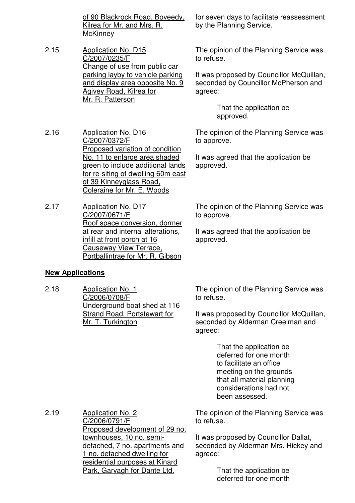of 90 Blackrock Road, Boveedy, Kilrea for Mr. and Mrs. R. **McKinney** 

2.15 Application No. D15 C/2007/0235/F Change of use from public car parking layby to vehicle parking and display area opposite No. 9 Agivey Road, Kilrea for Mr. R. Patterson

2.16 Application No. D16 C/2007/0372/F Proposed variation of condition No. 11 to enlarge area shaded green to include additional lands for re-siting of dwelling 60m east of 39 Kinneyglass Road, Coleraine for Mr. E. Woods

2.17 Application No. D17 C/2007/0671/F Roof space conversion, dormer at rear and internal alterations, infill at front porch at 16 Causeway View Terrace, Portballintrae for Mr. R. Gibson

## **New Applications**

2.18 Application No. 1 C/2006/0708/F Underground boat shed at 116 Strand Road, Portstewart for Mr. T. Turkington

The opinion of the Planning Service was to refuse.

It was proposed by Councillor McQuillan, seconded by Alderman Creelman and agreed:

> That the application be deferred for one month to facilitate an office meeting on the grounds that all material planning considerations had not been assessed.

The opinion of the Planning Service was to refuse.

It was proposed by Councillor Dallat, seconded by Alderman Mrs. Hickey and agreed:

> That the application be deferred for one month

for seven days to facilitate reassessment by the Planning Service.

The opinion of the Planning Service was to refuse.

It was proposed by Councillor McQuillan, seconded by Councillor McPherson and agreed:

> That the application be approved.

The opinion of the Planning Service was to approve.

It was agreed that the application be approved.

The opinion of the Planning Service was to approve.

It was agreed that the application be approved.

2.19 Application No. 2 C/2006/0791/F Proposed development of 29 no. townhouses, 10 no. semidetached, 7 no. apartments and 1 no. detached dwelling for residential purposes at Kinard Park, Garvagh for Dante Ltd.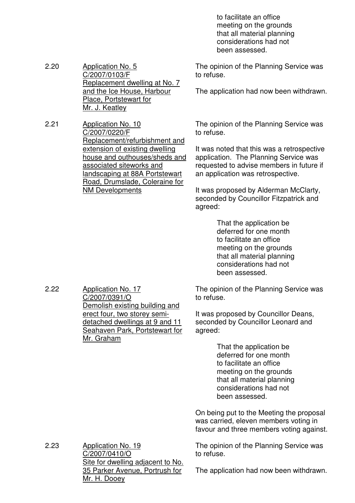to facilitate an office meeting on the grounds that all material planning considerations had not been assessed.

The opinion of the Planning Service was to refuse.

The application had now been withdrawn.

The opinion of the Planning Service was to refuse.

It was noted that this was a retrospective application. The Planning Service was requested to advise members in future if an application was retrospective.

It was proposed by Alderman McClarty, seconded by Councillor Fitzpatrick and agreed:

> That the application be deferred for one month to facilitate an office meeting on the grounds that all material planning considerations had not been assessed.

The opinion of the Planning Service was to refuse.

It was proposed by Councillor Deans, seconded by Councillor Leonard and agreed:

> That the application be deferred for one month to facilitate an office meeting on the grounds that all material planning considerations had not been assessed.

On being put to the Meeting the proposal was carried, eleven members voting in favour and three members voting against.

The opinion of the Planning Service was to refuse.

2.23 Application No. 19 C/2007/0410/O Site for dwelling adjacent to No. 35 Parker Avenue, Portrush for Mr. H. Dooey

The application had now been withdrawn.

2.22 Application No. 17 C/2007/0391/O Demolish existing building and erect four, two storey semidetached dwellings at 9 and 11 Seahaven Park, Portstewart for Mr. Graham

2.20 Application No. 5 C/2007/0103/F Replacement dwelling at No. 7 and the Ice House, Harbour Place, Portstewart for Mr. J. Keatley

2.21 Application No. 10 C/2007/0220/F Replacement/refurbishment and extension of existing dwelling house and outhouses/sheds and associated siteworks and landscaping at 88A Portstewart Road, Drumslade, Coleraine for NM Developments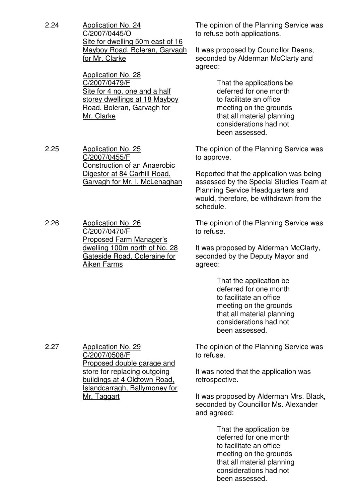2.24 Application No. 24 C/2007/0445/O Site for dwelling 50m east of 16 Mayboy Road, Boleran, Garvagh for Mr. Clarke

> Application No. 28 C/2007/0479/F Site for 4 no. one and a half storey dwellings at 18 Mayboy Road, Boleran, Garvagh for Mr. Clarke

2.25 Application No. 25 C/2007/0455/F Construction of an Anaerobic Digestor at 84 Carhill Road, Garvagh for Mr. I. McLenaghan

2.26 Application No. 26 C/2007/0470/F Proposed Farm Manager's dwelling 100m north of No. 28 Gateside Road, Coleraine for Aiken Farms

The opinion of the Planning Service was to refuse both applications.

It was proposed by Councillor Deans, seconded by Alderman McClarty and agreed:

> That the applications be deferred for one month to facilitate an office meeting on the grounds that all material planning considerations had not been assessed.

The opinion of the Planning Service was to approve.

Reported that the application was being assessed by the Special Studies Team at Planning Service Headquarters and would, therefore, be withdrawn from the schedule.

The opinion of the Planning Service was to refuse.

It was proposed by Alderman McClarty, seconded by the Deputy Mayor and agreed:

> That the application be deferred for one month to facilitate an office meeting on the grounds that all material planning considerations had not been assessed.

The opinion of the Planning Service was to refuse.

It was noted that the application was retrospective.

It was proposed by Alderman Mrs. Black, seconded by Councillor Ms. Alexander and agreed:

> That the application be deferred for one month to facilitate an office meeting on the grounds that all material planning considerations had not been assessed.

2.27 Application No. 29 C/2007/0508/F Proposed double garage and store for replacing outgoing buildings at 4 Oldtown Road, Islandcarragh, Ballymoney for Mr. Taggart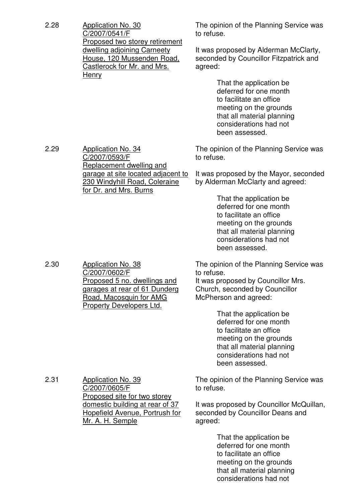| 2.28 | <b>Application No. 30</b><br>C/2007/0541/F                                                                                                                                | The opinion of the Planning Service was<br>to refuse.                                                                                                                            |
|------|---------------------------------------------------------------------------------------------------------------------------------------------------------------------------|----------------------------------------------------------------------------------------------------------------------------------------------------------------------------------|
|      | Proposed two storey retirement<br>dwelling adjoining Carneety<br>House, 120 Mussenden Road,<br><b>Castlerock for Mr. and Mrs.</b><br><u>Henry</u>                         | It was proposed by Alderman McClarty,<br>seconded by Councillor Fitzpatrick and<br>agreed:                                                                                       |
|      |                                                                                                                                                                           | That the application be<br>deferred for one month<br>to facilitate an office<br>meeting on the grounds<br>that all material planning<br>considerations had not<br>been assessed. |
| 2.29 | <b>Application No. 34</b><br>C/2007/0593/F<br>Replacement dwelling and<br>garage at site located adjacent to<br>230 Windyhill Road, Coleraine                             | The opinion of the Planning Service was<br>to refuse.                                                                                                                            |
|      |                                                                                                                                                                           | It was proposed by the Mayor, seconded<br>by Alderman McClarty and agreed:                                                                                                       |
|      | for Dr. and Mrs. Burns                                                                                                                                                    | That the application be<br>deferred for one month<br>to facilitate an office<br>meeting on the grounds<br>that all material planning<br>considerations had not<br>been assessed. |
| 2.30 | <b>Application No. 38</b><br>C/2007/0602/F<br>Proposed 5 no. dwellings and<br>garages at rear of 61 Dunderg<br><u>Road, Macosquin for AMG</u><br>Property Developers Ltd. | The opinion of the Planning Service was<br>to refuse.<br>It was proposed by Councillor Mrs.<br>Church, seconded by Councillor<br>McPherson and agreed:                           |
|      |                                                                                                                                                                           | That the application be<br>deferred for one month<br>to facilitate an office<br>meeting on the grounds<br>that all material planning<br>considerations had not<br>been assessed. |
| 2.31 | <b>Application No. 39</b><br>C/2007/0605/F<br>Proposed site for two storey                                                                                                | The opinion of the Planning Service was<br>to refuse.                                                                                                                            |
|      | domestic building at rear of 37<br><b>Hopefield Avenue, Portrush for</b><br>Mr. A. H. Semple                                                                              | It was proposed by Councillor McQuillan,<br>seconded by Councillor Deans and<br>agreed:                                                                                          |
|      |                                                                                                                                                                           | That the application be<br>deferred for one month<br>to facilitate an office<br>meeting on the grounds<br>that all material planning<br>considerations had not                   |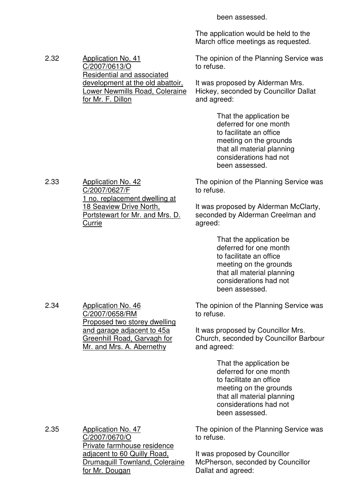been assessed.

The application would be held to the March office meetings as requested.

The opinion of the Planning Service was to refuse.

It was proposed by Alderman Mrs. Hickey, seconded by Councillor Dallat and agreed:

> That the application be deferred for one month to facilitate an office meeting on the grounds that all material planning considerations had not been assessed.

The opinion of the Planning Service was to refuse.

It was proposed by Alderman McClarty, seconded by Alderman Creelman and agreed:

> That the application be deferred for one month to facilitate an office meeting on the grounds that all material planning considerations had not been assessed.

The opinion of the Planning Service was to refuse.

It was proposed by Councillor Mrs. Church, seconded by Councillor Barbour and agreed:

> That the application be deferred for one month to facilitate an office meeting on the grounds that all material planning considerations had not been assessed.

The opinion of the Planning Service was to refuse.

It was proposed by Councillor McPherson, seconded by Councillor Dallat and agreed:

2.33 Application No. 42 C/2007/0627/F 1 no. replacement dwelling at

2.32 Application No. 41

C/2007/0613/O

for Mr. F. Dillon

Residential and associated development at the old abattoir, Lower Newmills Road, Coleraine

18 Seaview Drive North, Portstewart for Mr. and Mrs. D. **Currie** 

2.34 Application No. 46 C/2007/0658/RM Proposed two storey dwelling and garage adjacent to 45a Greenhill Road, Garvagh for Mr. and Mrs. A. Abernethy

2.35 Application No. 47 C/2007/0670/O Private farmhouse residence adjacent to 60 Quilly Road, Drumaquill Townland, Coleraine for Mr. Dougan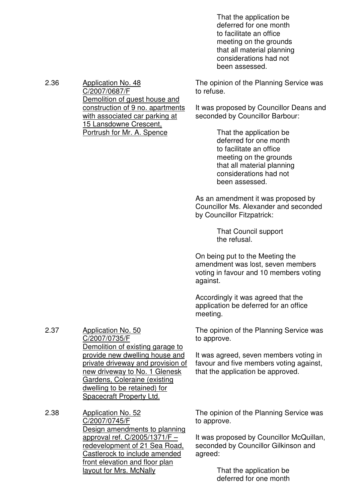That the application be deferred for one month to facilitate an office meeting on the grounds that all material planning considerations had not been assessed.

The opinion of the Planning Service was to refuse.

It was proposed by Councillor Deans and seconded by Councillor Barbour:

> That the application be deferred for one month to facilitate an office meeting on the grounds that all material planning considerations had not been assessed.

As an amendment it was proposed by Councillor Ms. Alexander and seconded by Councillor Fitzpatrick:

> That Council support the refusal.

On being put to the Meeting the amendment was lost, seven members voting in favour and 10 members voting against.

Accordingly it was agreed that the application be deferred for an office meeting.

The opinion of the Planning Service was to approve.

It was agreed, seven members voting in favour and five members voting against, that the application be approved.

2.38 Application No. 52 C/2007/0745/F Design amendments to planning approval ref. C/2005/1371/F – redevelopment of 21 Sea Road, Castlerock to include amended front elevation and floor plan layout for Mrs. McNally

2.37 Application No. 50

C/2007/0735/F

Demolition of existing garage to provide new dwelling house and private driveway and provision of new driveway to No. 1 Glenesk Gardens, Coleraine (existing dwelling to be retained) for Spacecraft Property Ltd.

> The opinion of the Planning Service was to approve.

It was proposed by Councillor McQuillan, seconded by Councillor Gilkinson and agreed:

> That the application be deferred for one month

2.36 Application No. 48 C/2007/0687/F Demolition of guest house and construction of 9 no. apartments with associated car parking at 15 Lansdowne Crescent, Portrush for Mr. A. Spence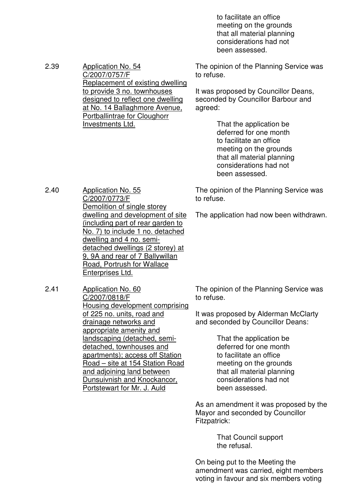to facilitate an office meeting on the grounds that all material planning considerations had not been assessed.

The opinion of the Planning Service was to refuse.

It was proposed by Councillor Deans, seconded by Councillor Barbour and agreed:

> That the application be deferred for one month to facilitate an office meeting on the grounds that all material planning considerations had not been assessed.

The opinion of the Planning Service was to refuse.

The application had now been withdrawn.

2.40 Application No. 55 C/2007/0773/F Demolition of single storey dwelling and development of site (including part of rear garden to No. 7) to include 1 no. detached dwelling and 4 no. semidetached dwellings (2 storey) at 9, 9A and rear of 7 Ballywillan Road, Portrush for Wallace Enterprises Ltd.

2.39 Application No. 54

C/2007/0757/F

Investments Ltd.

Replacement of existing dwelling to provide 3 no. townhouses designed to reflect one dwelling at No. 14 Ballaghmore Avenue, Portballintrae for Cloughorr

2.41 Application No. 60 C/2007/0818/F Housing development comprising of 225 no. units, road and drainage networks and appropriate amenity and landscaping (detached, semidetached, townhouses and apartments); access off Station Road – site at 154 Station Road and adjoining land between Dunsuivnish and Knockancor, Portstewart for Mr. J. Auld

The opinion of the Planning Service was to refuse.

It was proposed by Alderman McClarty and seconded by Councillor Deans:

> That the application be deferred for one month to facilitate an office meeting on the grounds that all material planning considerations had not been assessed.

As an amendment it was proposed by the Mayor and seconded by Councillor Fitzpatrick:

> That Council support the refusal.

On being put to the Meeting the amendment was carried, eight members voting in favour and six members voting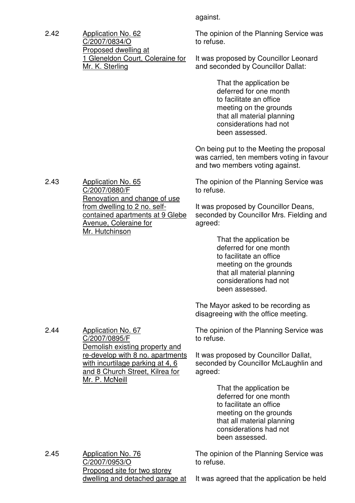2.42 Application No. 62 C/2007/0834/O Proposed dwelling at 1 Gleneldon Court, Coleraine for Mr. K. Sterling

against.

The opinion of the Planning Service was to refuse.

It was proposed by Councillor Leonard and seconded by Councillor Dallat:

> That the application be deferred for one month to facilitate an office meeting on the grounds that all material planning considerations had not been assessed.

On being put to the Meeting the proposal was carried, ten members voting in favour and two members voting against.

The opinion of the Planning Service was to refuse.

It was proposed by Councillor Deans, seconded by Councillor Mrs. Fielding and agreed:

> That the application be deferred for one month to facilitate an office meeting on the grounds that all material planning considerations had not been assessed.

The Mayor asked to be recording as disagreeing with the office meeting.

The opinion of the Planning Service was to refuse.

It was proposed by Councillor Dallat, seconded by Councillor McLaughlin and agreed:

> That the application be deferred for one month to facilitate an office meeting on the grounds that all material planning considerations had not been assessed.

2.45 Application No. 76 C/2007/0953/O Proposed site for two storey dwelling and detached garage at The opinion of the Planning Service was to refuse.

It was agreed that the application be held

2.43 Application No. 65 C/2007/0880/F Renovation and change of use from dwelling to 2 no. selfcontained apartments at 9 Glebe Avenue, Coleraine for Mr. Hutchinson

2.44 Application No. 67

C/2007/0895/F Demolish existing property and re-develop with 8 no. apartments with incurtilage parking at 4, 6 and 8 Church Street, Kilrea for Mr. P. McNeill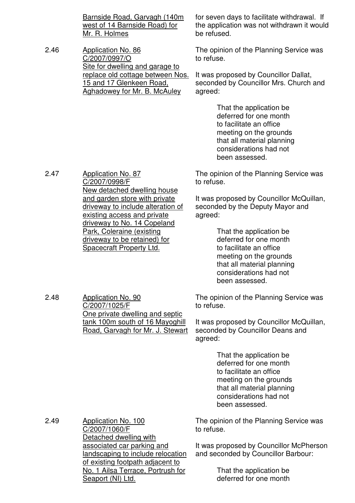Barnside Road, Garvagh (140m west of 14 Barnside Road) for Mr. R. Holmes

2.46 Application No. 86 C/2007/0997/O Site for dwelling and garage to replace old cottage between Nos. 15 and 17 Glenkeen Road, Aghadowey for Mr. B. McAuley

for seven days to facilitate withdrawal. If the application was not withdrawn it would be refused.

The opinion of the Planning Service was to refuse.

It was proposed by Councillor Dallat, seconded by Councillor Mrs. Church and agreed:

> That the application be deferred for one month to facilitate an office meeting on the grounds that all material planning considerations had not been assessed.

The opinion of the Planning Service was to refuse.

It was proposed by Councillor McQuillan, seconded by the Deputy Mayor and agreed:

> That the application be deferred for one month to facilitate an office meeting on the grounds that all material planning considerations had not been assessed.

The opinion of the Planning Service was to refuse.

It was proposed by Councillor McQuillan, seconded by Councillor Deans and agreed:

> That the application be deferred for one month to facilitate an office meeting on the grounds that all material planning considerations had not been assessed.

The opinion of the Planning Service was to refuse.

It was proposed by Councillor McPherson and seconded by Councillor Barbour:

> That the application be deferred for one month

2.47 Application No. 87 C/2007/0998/F New detached dwelling house and garden store with private driveway to include alteration of existing access and private driveway to No. 14 Copeland Park, Coleraine (existing driveway to be retained) for Spacecraft Property Ltd.

2.48 Application No. 90 C/2007/1025/F One private dwelling and septic tank 100m south of 16 Mayoghill Road, Garvagh for Mr. J. Stewart

2.49 Application No. 100 C/2007/1060/F Detached dwelling with associated car parking and landscaping to include relocation of existing footpath adjacent to No. 1 Ailsa Terrace, Portrush for Seaport (NI) Ltd.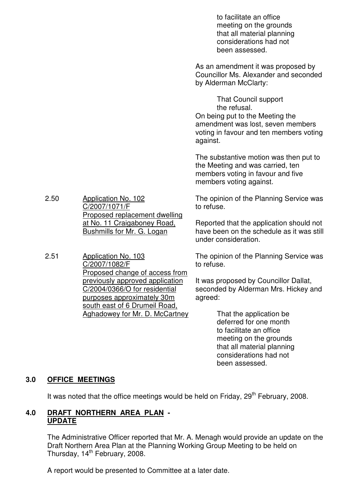|      |                                                                                                                                                                                                     | to facilitate an office<br>meeting on the grounds<br>that all material planning<br>considerations had not<br>been assessed.                                                |
|------|-----------------------------------------------------------------------------------------------------------------------------------------------------------------------------------------------------|----------------------------------------------------------------------------------------------------------------------------------------------------------------------------|
|      |                                                                                                                                                                                                     | As an amendment it was proposed by<br>Councillor Ms. Alexander and seconded<br>by Alderman McClarty:                                                                       |
|      |                                                                                                                                                                                                     | <b>That Council support</b><br>the refusal.<br>On being put to the Meeting the<br>amendment was lost, seven members<br>voting in favour and ten members voting<br>against. |
|      |                                                                                                                                                                                                     | The substantive motion was then put to<br>the Meeting and was carried, ten<br>members voting in favour and five<br>members voting against.                                 |
| 2.50 | <b>Application No. 102</b><br>C/2007/1071/F<br>Proposed replacement dwelling<br>at No. 11 Craigaboney Road,<br>Bushmills for Mr. G. Logan                                                           | The opinion of the Planning Service was<br>to refuse.                                                                                                                      |
|      |                                                                                                                                                                                                     | Reported that the application should not<br>have been on the schedule as it was still<br>under consideration.                                                              |
| 2.51 | <b>Application No. 103</b><br>C/2007/1082/F                                                                                                                                                         | The opinion of the Planning Service was<br>to refuse.                                                                                                                      |
|      | Proposed change of access from<br>previously approved application<br>C/2004/0366/O for residential<br>purposes approximately 30m<br>south east of 6 Drumeil Road,<br>Aghadowey for Mr. D. McCartney | It was proposed by Councillor Dallat,<br>seconded by Alderman Mrs. Hickey and<br>agreed:                                                                                   |
|      |                                                                                                                                                                                                     | That the application be<br>deferred for one month<br>to facilitate an office<br>meeting on the grounds<br>that all material planning<br>considerations had not             |

## **3.0 OFFICE MEETINGS**

It was noted that the office meetings would be held on Friday, 29<sup>th</sup> February, 2008.

been assessed.

## **4.0 DRAFT NORTHERN AREA PLAN - UPDATE**

 The Administrative Officer reported that Mr. A. Menagh would provide an update on the Draft Northern Area Plan at the Planning Working Group Meeting to be held on Thursday, 14<sup>th</sup> February, 2008.

A report would be presented to Committee at a later date.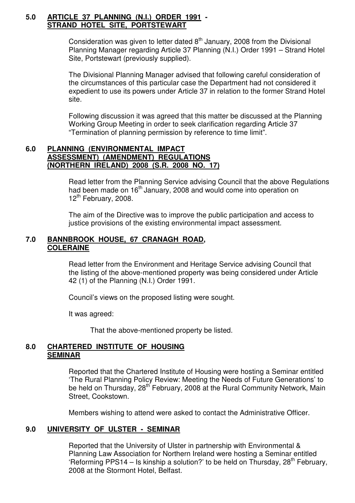#### **5.0 ARTICLE 37 PLANNING (N.I.) ORDER 1991 - STRAND HOTEL SITE, PORTSTEWART**

Consideration was given to letter dated  $8<sup>th</sup>$  January, 2008 from the Divisional Planning Manager regarding Article 37 Planning (N.I.) Order 1991 – Strand Hotel Site, Portstewart (previously supplied).

 The Divisional Planning Manager advised that following careful consideration of the circumstances of this particular case the Department had not considered it expedient to use its powers under Article 37 in relation to the former Strand Hotel site.

 Following discussion it was agreed that this matter be discussed at the Planning Working Group Meeting in order to seek clarification regarding Article 37 "Termination of planning permission by reference to time limit".

### **6.0 PLANNING (ENVIRONMENTAL IMPACT ASSESSMENT) (AMENDMENT) REGULATIONS (NORTHERN IRELAND) 2008 (S.R. 2008 NO. 17)**

 Read letter from the Planning Service advising Council that the above Regulations had been made on  $16<sup>th</sup>$  January, 2008 and would come into operation on  $12^{th}$  February, 2008.

 The aim of the Directive was to improve the public participation and access to justice provisions of the existing environmental impact assessment.

## **7.0 BANNBROOK HOUSE, 67 CRANAGH ROAD, COLERAINE**

 Read letter from the Environment and Heritage Service advising Council that the listing of the above-mentioned property was being considered under Article 42 (1) of the Planning (N.I.) Order 1991.

Council's views on the proposed listing were sought.

It was agreed:

That the above-mentioned property be listed.

## **8.0 CHARTERED INSTITUTE OF HOUSING SEMINAR**

 Reported that the Chartered Institute of Housing were hosting a Seminar entitled 'The Rural Planning Policy Review: Meeting the Needs of Future Generations' to be held on Thursday, 28<sup>th</sup> February, 2008 at the Rural Community Network, Main Street, Cookstown.

Members wishing to attend were asked to contact the Administrative Officer.

## **9.0 UNIVERSITY OF ULSTER - SEMINAR**

Reported that the University of Ulster in partnership with Environmental & Planning Law Association for Northern Ireland were hosting a Seminar entitled 'Reforming PPS14 – Is kinship a solution?' to be held on Thursday,  $28<sup>th</sup>$  February, 2008 at the Stormont Hotel, Belfast.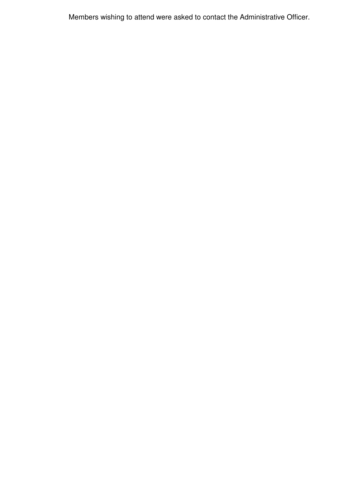Members wishing to attend were asked to contact the Administrative Officer.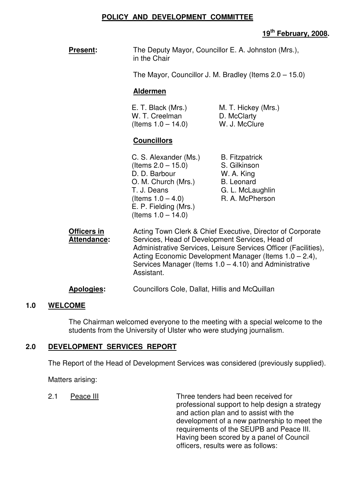#### **POLICY AND DEVELOPMENT COMMITTEE**

## **19th February, 2008.**

The Mayor, Councillor J. M. Bradley (Items 2.0 – 15.0)

#### **Aldermen**

E. T. Black (Mrs.) M. T. Hickey (Mrs.) W. T. Creelman D. McClarty  $($ ltems  $1.0 - 14.0)$  W. J. McClure

## **Councillors**

C. S. Alexander (Ms.) B. Fitzpatrick (Items 2.0 – 15.0) S. Gilkinson<br>D. D. Barbour M. A. King D. D. Barbour O. M. Church (Mrs.) B. Leonard T. J. Deans G. L. McLaughlin<br>(Items 1 0 – 4 0) R. A. McPherson (Items  $1.0 - 4.0$ ) E. P. Fielding (Mrs.) (Items  $1.0 - 14.0$ )

**Officers in Chief Acting Town Clerk & Chief Executive, Director of Corporate** Attendance: Services, Head of Development Services, Head of Administrative Services, Leisure Services Officer (Facilities), Acting Economic Development Manager (Items 1.0 – 2.4), Services Manager (Items  $1.0 - 4.10$ ) and Administrative Assistant.

## **Apologies:** Councillors Cole, Dallat, Hillis and McQuillan

#### **1.0 WELCOME**

The Chairman welcomed everyone to the meeting with a special welcome to the students from the University of Ulster who were studying journalism.

## **2.0 DEVELOPMENT SERVICES REPORT**

The Report of the Head of Development Services was considered (previously supplied).

Matters arising:

2.1 Peace III Contract Provide tenders had been received for professional support to help design a strategy and action plan and to assist with the development of a new partnership to meet the requirements of the SEUPB and Peace III. Having been scored by a panel of Council officers, results were as follows: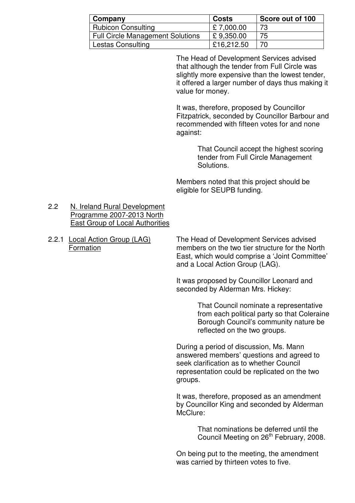| Company                                 | <b>Costs</b> | Score out of 100 |
|-----------------------------------------|--------------|------------------|
| <b>Rubicon Consulting</b>               | £7,000.00    | 73               |
| <b>Full Circle Management Solutions</b> | £9,350.00    | 75               |
| Lestas Consulting                       | £16,212.50   | 70               |

 The Head of Development Services advised that although the tender from Full Circle was slightly more expensive than the lowest tender, it offered a larger number of days thus making it value for money.

It was, therefore, proposed by Councillor Fitzpatrick, seconded by Councillor Barbour and recommended with fifteen votes for and none against:

> That Council accept the highest scoring tender from Full Circle Management Solutions.

Members noted that this project should be eligible for SEUPB funding.

#### 2.2 N. Ireland Rural Development Programme 2007-2013 North East Group of Local Authorities

2.2.1 Local Action Group (LAG) The Head of Development Services advised Formation members on the two tier structure for the North East, which would comprise a 'Joint Committee' and a Local Action Group (LAG).

> It was proposed by Councillor Leonard and seconded by Alderman Mrs. Hickey:

> > That Council nominate a representative from each political party so that Coleraine Borough Council's community nature be reflected on the two groups.

 During a period of discussion, Ms. Mann answered members' questions and agreed to seek clarification as to whether Council representation could be replicated on the two groups.

 It was, therefore, proposed as an amendment by Councillor King and seconded by Alderman McClure:

> That nominations be deferred until the Council Meeting on 26<sup>th</sup> February, 2008.

On being put to the meeting, the amendment was carried by thirteen votes to five.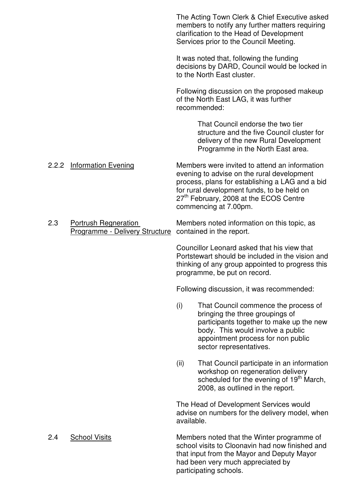|     |                                                                                        |            | The Acting Town Clerk & Chief Executive asked<br>members to notify any further matters requiring<br>clarification to the Head of Development<br>Services prior to the Council Meeting.                                                                          |
|-----|----------------------------------------------------------------------------------------|------------|-----------------------------------------------------------------------------------------------------------------------------------------------------------------------------------------------------------------------------------------------------------------|
|     |                                                                                        |            | It was noted that, following the funding<br>decisions by DARD, Council would be locked in<br>to the North East cluster.                                                                                                                                         |
|     |                                                                                        |            | Following discussion on the proposed makeup<br>of the North East LAG, it was further<br>recommended:                                                                                                                                                            |
|     |                                                                                        |            | That Council endorse the two tier<br>structure and the five Council cluster for<br>delivery of the new Rural Development<br>Programme in the North East area.                                                                                                   |
|     | 2.2.2 Information Evening                                                              |            | Members were invited to attend an information<br>evening to advise on the rural development<br>process, plans for establishing a LAG and a bid<br>for rural development funds, to be held on<br>27th February, 2008 at the ECOS Centre<br>commencing at 7.00pm. |
| 2.3 | <b>Portrush Regneration</b><br>Programme - Delivery Structure contained in the report. |            | Members noted information on this topic, as                                                                                                                                                                                                                     |
|     |                                                                                        |            | Councillor Leonard asked that his view that<br>Portstewart should be included in the vision and<br>thinking of any group appointed to progress this<br>programme, be put on record.                                                                             |
|     |                                                                                        |            | Following discussion, it was recommended:                                                                                                                                                                                                                       |
|     |                                                                                        | (i)        | That Council commence the process of<br>bringing the three groupings of<br>participants together to make up the new<br>body. This would involve a public<br>appointment process for non public<br>sector representatives.                                       |
|     |                                                                                        | (ii)       | That Council participate in an information<br>workshop on regeneration delivery<br>scheduled for the evening of 19 <sup>th</sup> March,<br>2008, as outlined in the report.                                                                                     |
|     |                                                                                        | available. | The Head of Development Services would<br>advise on numbers for the delivery model, when                                                                                                                                                                        |
| 2.4 | <b>School Visits</b>                                                                   |            | Members noted that the Winter programme of<br>school visits to Cloonavin had now finished and<br>that input from the Mayor and Deputy Mayor<br>had been very much appreciated by<br>participating schools.                                                      |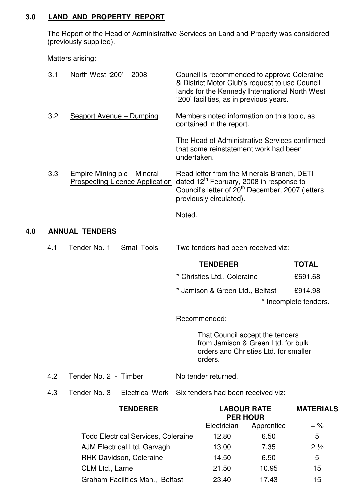## **3.0 LAND AND PROPERTY REPORT**

The Report of the Head of Administrative Services on Land and Property was considered (previously supplied).

Matters arising:

|     | 3.1                             | North West '200' - 2008                                                                                            |                                    | Council is recommended to approve Coleraine<br>& District Motor Club's request to use Council<br>lands for the Kennedy International North West<br>'200' facilities, as in previous years.    |            |                       |
|-----|---------------------------------|--------------------------------------------------------------------------------------------------------------------|------------------------------------|-----------------------------------------------------------------------------------------------------------------------------------------------------------------------------------------------|------------|-----------------------|
|     | 3.2                             | Seaport Avenue - Dumping                                                                                           |                                    | Members noted information on this topic, as<br>contained in the report.                                                                                                                       |            |                       |
|     |                                 |                                                                                                                    | undertaken.                        | The Head of Administrative Services confirmed<br>that some reinstatement work had been                                                                                                        |            |                       |
|     | 3.3                             | Empire Mining plc - Mineral<br><b>Prospecting Licence Application</b>                                              |                                    | Read letter from the Minerals Branch, DETI<br>dated 12 <sup>th</sup> February, 2008 in response to<br>Council's letter of 20 <sup>th</sup> December, 2007 (letters<br>previously circulated). |            |                       |
|     |                                 |                                                                                                                    | Noted.                             |                                                                                                                                                                                               |            |                       |
| 4.0 |                                 | <b>ANNUAL TENDERS</b>                                                                                              |                                    |                                                                                                                                                                                               |            |                       |
|     | 4.1                             | Tender No. 1 - Small Tools                                                                                         | Two tenders had been received viz: |                                                                                                                                                                                               |            |                       |
|     |                                 |                                                                                                                    |                                    | <b>TENDERER</b>                                                                                                                                                                               |            | <b>TOTAL</b>          |
|     |                                 |                                                                                                                    |                                    | * Christies Ltd., Coleraine                                                                                                                                                                   |            | £691.68               |
|     |                                 |                                                                                                                    |                                    | * Jamison & Green Ltd., Belfast                                                                                                                                                               |            | £914.98               |
|     |                                 |                                                                                                                    |                                    |                                                                                                                                                                                               |            | * Incomplete tenders. |
|     |                                 |                                                                                                                    |                                    |                                                                                                                                                                                               |            |                       |
|     |                                 |                                                                                                                    |                                    | Recommended:                                                                                                                                                                                  |            |                       |
|     |                                 |                                                                                                                    |                                    | That Council accept the tenders<br>from Jamison & Green Ltd. for bulk<br>orders and Christies Ltd. for smaller<br>orders.                                                                     |            |                       |
|     | 4.2                             | Tender No. 2 - Timber                                                                                              |                                    | No tender returned.                                                                                                                                                                           |            |                       |
|     | 4.3                             | Tender No. 3 - Electrical Work                                                                                     |                                    | Six tenders had been received viz:                                                                                                                                                            |            |                       |
|     |                                 | <b>TENDERER</b>                                                                                                    |                                    | <b>LABOUR RATE</b><br><b>PER HOUR</b>                                                                                                                                                         |            | <b>MATERIALS</b>      |
|     |                                 |                                                                                                                    |                                    | Electrician                                                                                                                                                                                   | Apprentice | $+$ %                 |
|     |                                 | <b>Todd Electrical Services, Coleraine</b><br><b>AJM Electrical Ltd, Garvagh</b><br><b>RHK Davidson, Coleraine</b> |                                    | 12.80                                                                                                                                                                                         | 6.50       | 5                     |
|     |                                 |                                                                                                                    |                                    | 13.00                                                                                                                                                                                         | 7.35       | $2\frac{1}{2}$        |
|     |                                 |                                                                                                                    |                                    | 14.50                                                                                                                                                                                         | 6.50       | 5                     |
|     |                                 | CLM Ltd., Larne                                                                                                    |                                    | 21.50                                                                                                                                                                                         | 10.95      | 15                    |
|     | Graham Facilities Man., Belfast |                                                                                                                    |                                    | 23.40                                                                                                                                                                                         | 17.43      | 15                    |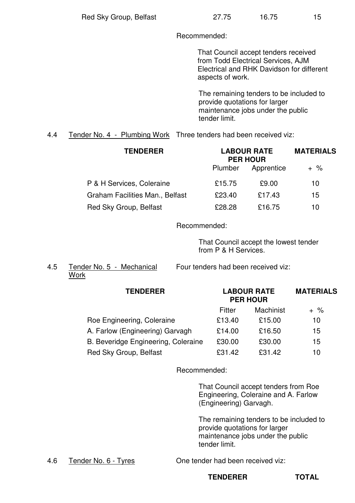Recommended:

 That Council accept tenders received from Todd Electrical Services, AJM Electrical and RHK Davidson for different aspects of work.

The remaining tenders to be included to provide quotations for larger maintenance jobs under the public tender limit.

4.4 Tender No. 4 - Plumbing Work Three tenders had been received viz:

| <b>TENDERER</b>                 | <b>LABOUR RATE</b><br><b>PER HOUR</b> | <b>MATERIALS</b> |                 |
|---------------------------------|---------------------------------------|------------------|-----------------|
|                                 | Plumber                               | Apprentice       | $+ \frac{9}{6}$ |
| P & H Services, Coleraine       | £15.75                                | £9.00            | 10              |
| Graham Facilities Man., Belfast | £23.40                                | £17.43           | 15              |
| Red Sky Group, Belfast          | £28.28                                | £16.75           | 10              |

Recommended:

That Council accept the lowest tender from P & H Services.

**Work** 

4.5 Tender No. 5 - Mechanical Four tenders had been received viz:

|        | <b>LABOUR RATE</b><br><b>PER HOUR</b> |       |
|--------|---------------------------------------|-------|
| Fitter | Machinist                             | $+$ % |
| £13.40 | £15.00                                | 10    |
| £14.00 | £16.50                                | 15    |
| £30.00 | £30.00                                | 15    |
| £31.42 | £31.42                                | 10    |
|        |                                       |       |

Recommended:

That Council accept tenders from Roe Engineering, Coleraine and A. Farlow (Engineering) Garvagh.

The remaining tenders to be included to provide quotations for larger maintenance jobs under the public tender limit.

4.6 Tender No. 6 - Tyres One tender had been received viz:

**TENDERER TOTAL**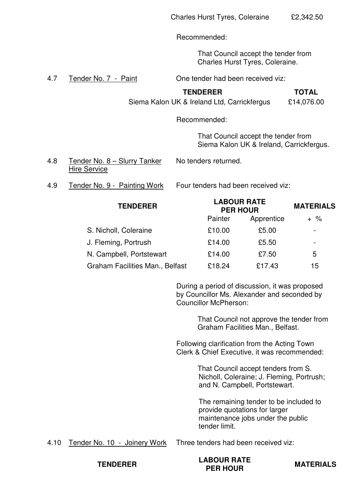Recommended:

That Council accept the tender from Charles Hurst Tyres, Coleraine.

4.7 Tender No. 7 - Paint Cheen tender had been received viz:

#### **TENDERER TOTAL**

Siema Kalon UK & Ireland Ltd, Carrickfergus £14,076.00

Recommended:

That Council accept the tender from Siema Kalon UK & Ireland, Carrickfergus.

- 4.8 Tender No. 8 Slurry Tanker No tenders returned. Hire Service
- 

4.9 Tender No. 9 - Painting Work Four tenders had been received viz:

| <b>TENDERER</b> |                                 | <b>LABOUR RATE</b><br><b>PER HOUR</b> | <b>MATERIALS</b> |                          |
|-----------------|---------------------------------|---------------------------------------|------------------|--------------------------|
|                 |                                 | Painter                               | Apprentice       | $+$ %                    |
|                 | S. Nicholl, Coleraine           | £10.00                                | £5.00            | $\overline{\phantom{0}}$ |
|                 | J. Fleming, Portrush            | £14.00                                | £5.50            | $\overline{\phantom{0}}$ |
|                 | N. Campbell, Portstewart        | £14.00                                | £7.50            | 5                        |
|                 | Graham Facilities Man., Belfast | £18.24                                | £17.43           | 15                       |

During a period of discussion, it was proposed by Councillor Ms. Alexander and seconded by Councillor McPherson:

> That Council not approve the tender from Graham Facilities Man., Belfast.

Following clarification from the Acting Town Clerk & Chief Executive, it was recommended:

> That Council accept tenders from S. Nicholl, Coleraine; J. Fleming, Portrush; and N. Campbell, Portstewart.

The remaining tender to be included to provide quotations for larger maintenance jobs under the public tender limit.

4.10 Tender No. 10 - Joinery Work Three tenders had been received viz:

**TENDERER LABOUR RATE** 

**MATERIALS**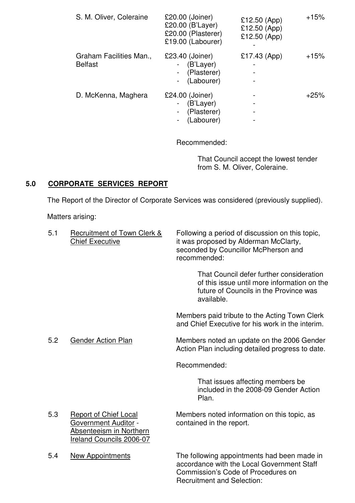| S. M. Oliver, Coleraine                   | £20.00 (Joiner)<br>£20.00 (B'Layer)<br>£20.00 (Plasterer)<br>£19.00 (Labourer) | £12.50 (App)<br>£12.50 (App)<br>£12.50 (App) | $+15%$ |
|-------------------------------------------|--------------------------------------------------------------------------------|----------------------------------------------|--------|
| Graham Facilities Man.,<br><b>Belfast</b> | £23.40 (Joiner)<br>(B'Layer)<br>(Plasterer)<br>$\sim$<br>(Labourer)            | £17.43 (App)                                 | $+15%$ |
| D. McKenna, Maghera                       | £24.00 (Joiner)<br>(B'Layer)<br>(Plasterer)<br>(Labourer)                      |                                              | $+25%$ |

Recommended:

That Council accept the lowest tender from S. M. Oliver, Coleraine.

# **5.0 CORPORATE SERVICES REPORT**

The Report of the Director of Corporate Services was considered (previously supplied).

Matters arising:

| 5.1 | Recruitment of Town Clerk &<br><b>Chief Executive</b>                                                                     | Following a period of discussion on this topic,<br>it was proposed by Alderman McClarty,<br>seconded by Councillor McPherson and<br>recommended: |
|-----|---------------------------------------------------------------------------------------------------------------------------|--------------------------------------------------------------------------------------------------------------------------------------------------|
|     |                                                                                                                           | That Council defer further consideration<br>of this issue until more information on the<br>future of Councils in the Province was<br>available.  |
|     |                                                                                                                           | Members paid tribute to the Acting Town Clerk<br>and Chief Executive for his work in the interim.                                                |
| 5.2 | <b>Gender Action Plan</b>                                                                                                 | Members noted an update on the 2006 Gender<br>Action Plan including detailed progress to date.                                                   |
|     |                                                                                                                           | Recommended:                                                                                                                                     |
|     |                                                                                                                           | That issues affecting members be.<br>included in the 2008-09 Gender Action<br>Plan.                                                              |
| 5.3 | <b>Report of Chief Local</b><br><b>Government Auditor -</b><br>Absenteeism in Northern<br><b>Ireland Councils 2006-07</b> | Members noted information on this topic, as<br>contained in the report.                                                                          |
| 5.4 | New Appointments                                                                                                          | The following appointments had been made in                                                                                                      |

accordance with the Local Government Staff Commission's Code of Procedures on Recruitment and Selection: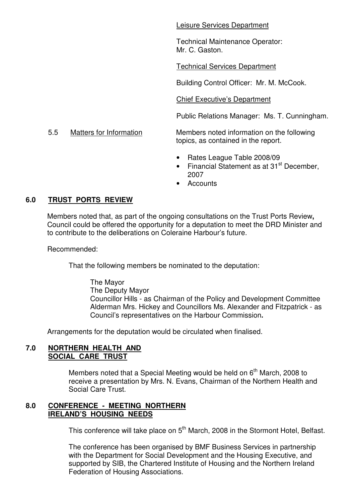Leisure Services Department

Technical Maintenance Operator: Mr. C. Gaston.

Technical Services Department

Building Control Officer: Mr. M. McCook.

Chief Executive's Department

Public Relations Manager: Ms. T. Cunningham.

5.5 Matters for Information Members noted information on the following topics, as contained in the report.

- Rates League Table 2008/09
- Financial Statement as at  $31<sup>st</sup>$  December, 2007
- Accounts

#### **6.0 TRUST PORTS REVIEW**

Members noted that, as part of the ongoing consultations on the Trust Ports Review**,**  Council could be offered the opportunity for a deputation to meet the DRD Minister and to contribute to the deliberations on Coleraine Harbour's future.

Recommended:

That the following members be nominated to the deputation:

The Mayor The Deputy Mayor Councillor Hills - as Chairman of the Policy and Development Committee Alderman Mrs. Hickey and Councillors Ms. Alexander and Fitzpatrick - as Council's representatives on the Harbour Commission**.** 

Arrangements for the deputation would be circulated when finalised.

#### **7.0 NORTHERN HEALTH AND SOCIAL CARE TRUST**

Members noted that a Special Meeting would be held on  $6<sup>th</sup>$  March, 2008 to receive a presentation by Mrs. N. Evans, Chairman of the Northern Health and Social Care Trust.

## **8.0 CONFERENCE - MEETING NORTHERN IRELAND'S HOUSING NEEDS**

This conference will take place on 5<sup>th</sup> March, 2008 in the Stormont Hotel, Belfast.

The conference has been organised by BMF Business Services in partnership with the Department for Social Development and the Housing Executive, and supported by SIB, the Chartered Institute of Housing and the Northern Ireland Federation of Housing Associations.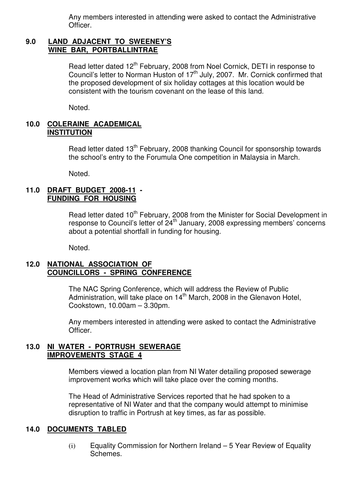Any members interested in attending were asked to contact the Administrative Officer.

#### **9.0 LAND ADJACENT TO SWEENEY'S WINE BAR, PORTBALLINTRAE**

Read letter dated 12<sup>th</sup> February, 2008 from Noel Cornick, DETI in response to Council's letter to Norman Huston of  $17<sup>th</sup>$  July, 2007. Mr. Cornick confirmed that the proposed development of six holiday cottages at this location would be consistent with the tourism covenant on the lease of this land.

Noted.

#### **10.0 COLERAINE ACADEMICAL INSTITUTION**

Read letter dated 13<sup>th</sup> February, 2008 thanking Council for sponsorship towards the school's entry to the Forumula One competition in Malaysia in March.

Noted.

#### **11.0 DRAFT BUDGET 2008-11 - FUNDING FOR HOUSING**

Read letter dated 10<sup>th</sup> February, 2008 from the Minister for Social Development in response to Council's letter of 24<sup>th</sup> January, 2008 expressing members' concerns about a potential shortfall in funding for housing.

Noted.

#### **12.0 NATIONAL ASSOCIATION OF COUNCILLORS - SPRING CONFERENCE**

 The NAC Spring Conference, which will address the Review of Public Administration, will take place on  $14<sup>th</sup>$  March, 2008 in the Glenavon Hotel, Cookstown, 10.00am – 3.30pm.

Any members interested in attending were asked to contact the Administrative Officer.

#### **13.0 NI WATER - PORTRUSH SEWERAGE IMPROVEMENTS STAGE 4**

 Members viewed a location plan from NI Water detailing proposed sewerage improvement works which will take place over the coming months.

The Head of Administrative Services reported that he had spoken to a representative of NI Water and that the company would attempt to minimise disruption to traffic in Portrush at key times, as far as possible.

## **14.0 DOCUMENTS TABLED**

(i) Equality Commission for Northern Ireland – 5 Year Review of Equality Schemes.